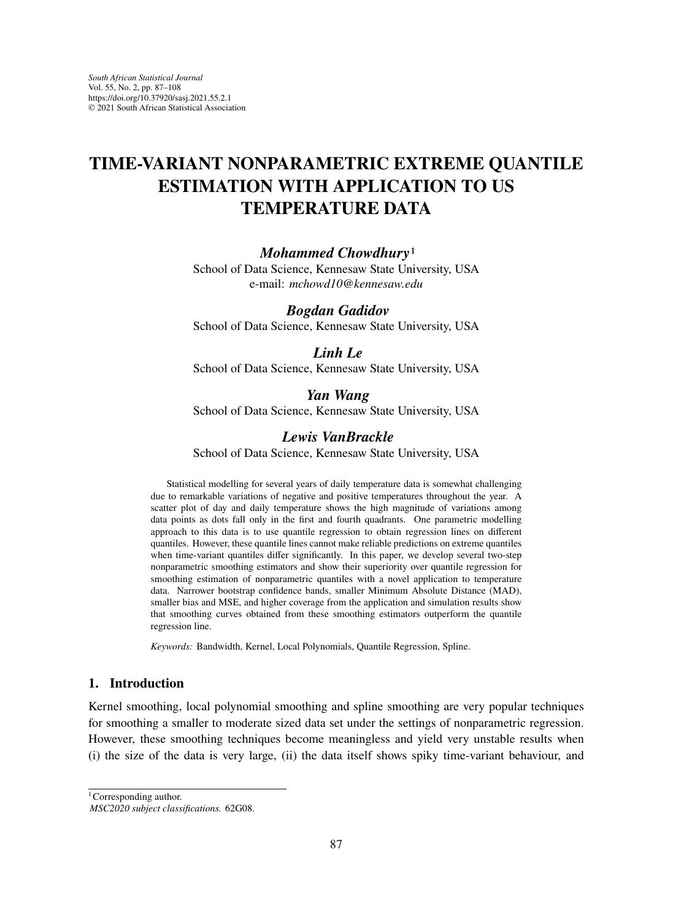# **TIME-VARIANT NONPARAMETRIC EXTREME QUANTILE ESTIMATION WITH APPLICATION TO US TEMPERATURE DATA**

## *Mohammed Chowdhury*1

School of Data Science, Kennesaw State University, USA e-mail: *mchowd10@kennesaw.edu*

## *Bogdan Gadidov*

School of Data Science, Kennesaw State University, USA

## *Linh Le*

School of Data Science, Kennesaw State University, USA

## *Yan Wang*

School of Data Science, Kennesaw State University, USA

## *Lewis VanBrackle*

School of Data Science, Kennesaw State University, USA

Statistical modelling for several years of daily temperature data is somewhat challenging due to remarkable variations of negative and positive temperatures throughout the year. A scatter plot of day and daily temperature shows the high magnitude of variations among data points as dots fall only in the first and fourth quadrants. One parametric modelling approach to this data is to use quantile regression to obtain regression lines on different quantiles. However, these quantile lines cannot make reliable predictions on extreme quantiles when time-variant quantiles differ significantly. In this paper, we develop several two-step nonparametric smoothing estimators and show their superiority over quantile regression for smoothing estimation of nonparametric quantiles with a novel application to temperature data. Narrower bootstrap confidence bands, smaller Minimum Absolute Distance (MAD), smaller bias and MSE, and higher coverage from the application and simulation results show that smoothing curves obtained from these smoothing estimators outperform the quantile regression line.

*Keywords:* Bandwidth, Kernel, Local Polynomials, Quantile Regression, Spline.

## **1. Introduction**

Kernel smoothing, local polynomial smoothing and spline smoothing are very popular techniques for smoothing a smaller to moderate sized data set under the settings of nonparametric regression. However, these smoothing techniques become meaningless and yield very unstable results when (i) the size of the data is very large, (ii) the data itself shows spiky time-variant behaviour, and

<sup>1</sup> Corresponding author.

*MSC2020 subject classifications.* 62G08.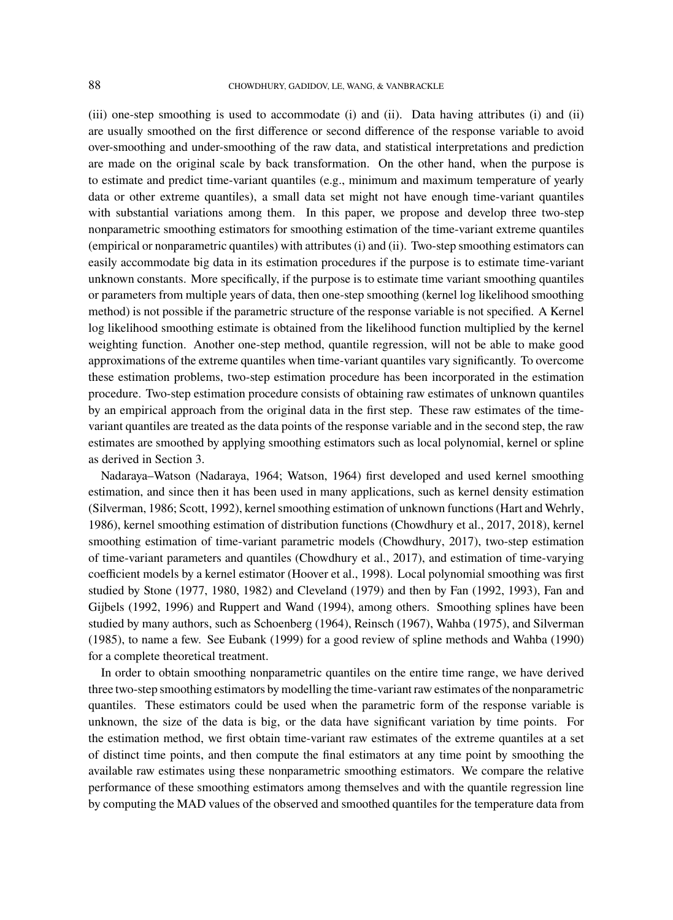(iii) one-step smoothing is used to accommodate (i) and (ii). Data having attributes (i) and (ii) are usually smoothed on the first difference or second difference of the response variable to avoid over-smoothing and under-smoothing of the raw data, and statistical interpretations and prediction are made on the original scale by back transformation. On the other hand, when the purpose is to estimate and predict time-variant quantiles (e.g., minimum and maximum temperature of yearly data or other extreme quantiles), a small data set might not have enough time-variant quantiles with substantial variations among them. In this paper, we propose and develop three two-step nonparametric smoothing estimators for smoothing estimation of the time-variant extreme quantiles (empirical or nonparametric quantiles) with attributes (i) and (ii). Two-step smoothing estimators can easily accommodate big data in its estimation procedures if the purpose is to estimate time-variant unknown constants. More specifically, if the purpose is to estimate time variant smoothing quantiles or parameters from multiple years of data, then one-step smoothing (kernel log likelihood smoothing method) is not possible if the parametric structure of the response variable is not specified. A Kernel log likelihood smoothing estimate is obtained from the likelihood function multiplied by the kernel weighting function. Another one-step method, quantile regression, will not be able to make good approximations of the extreme quantiles when time-variant quantiles vary significantly. To overcome these estimation problems, two-step estimation procedure has been incorporated in the estimation procedure. Two-step estimation procedure consists of obtaining raw estimates of unknown quantiles by an empirical approach from the original data in the first step. These raw estimates of the timevariant quantiles are treated as the data points of the response variable and in the second step, the raw estimates are smoothed by applying smoothing estimators such as local polynomial, kernel or spline as derived in Section 3.

Nadaraya–Watson (Nadaraya, 1964; Watson, 1964) first developed and used kernel smoothing estimation, and since then it has been used in many applications, such as kernel density estimation (Silverman, 1986; Scott, 1992), kernel smoothing estimation of unknown functions (Hart and Wehrly, 1986), kernel smoothing estimation of distribution functions (Chowdhury et al., 2017, 2018), kernel smoothing estimation of time-variant parametric models (Chowdhury, 2017), two-step estimation of time-variant parameters and quantiles (Chowdhury et al., 2017), and estimation of time-varying coefficient models by a kernel estimator (Hoover et al., 1998). Local polynomial smoothing was first studied by Stone (1977, 1980, 1982) and Cleveland (1979) and then by Fan (1992, 1993), Fan and Gijbels (1992, 1996) and Ruppert and Wand (1994), among others. Smoothing splines have been studied by many authors, such as Schoenberg (1964), Reinsch (1967), Wahba (1975), and Silverman (1985), to name a few. See Eubank (1999) for a good review of spline methods and Wahba (1990) for a complete theoretical treatment.

In order to obtain smoothing nonparametric quantiles on the entire time range, we have derived three two-step smoothing estimators by modelling the time-variant raw estimates of the nonparametric quantiles. These estimators could be used when the parametric form of the response variable is unknown, the size of the data is big, or the data have significant variation by time points. For the estimation method, we first obtain time-variant raw estimates of the extreme quantiles at a set of distinct time points, and then compute the final estimators at any time point by smoothing the available raw estimates using these nonparametric smoothing estimators. We compare the relative performance of these smoothing estimators among themselves and with the quantile regression line by computing the MAD values of the observed and smoothed quantiles for the temperature data from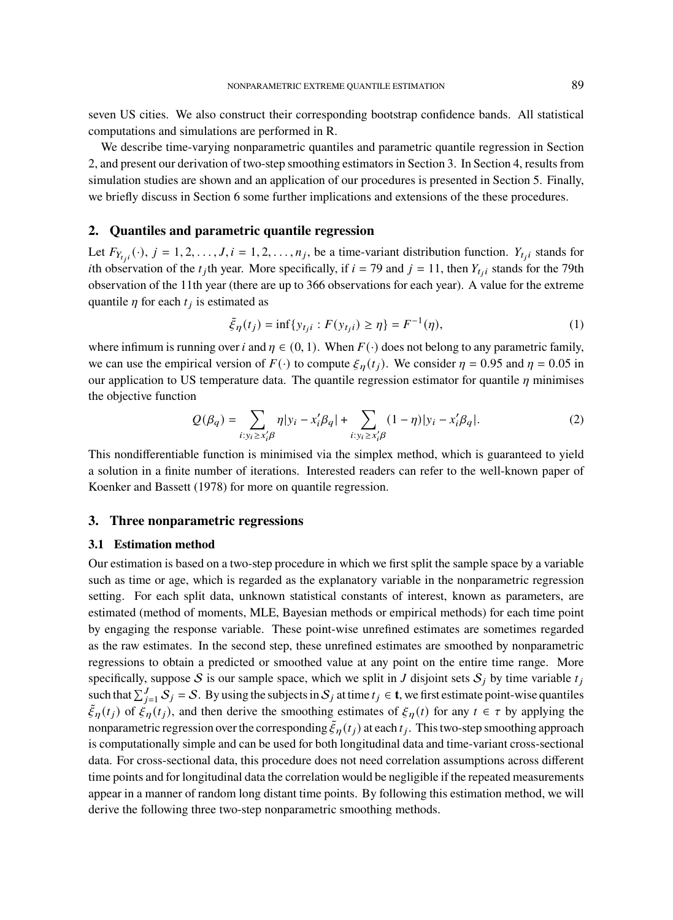seven US cities. We also construct their corresponding bootstrap confidence bands. All statistical computations and simulations are performed in R.

We describe time-varying nonparametric quantiles and parametric quantile regression in Section 2, and present our derivation of two-step smoothing estimators in Section 3. In Section 4, results from simulation studies are shown and an application of our procedures is presented in Section 5. Finally, we briefly discuss in Section 6 some further implications and extensions of the these procedures.

## **2. Quantiles and parametric quantile regression**

Let  $F_{Y_{tji}}(\cdot)$ ,  $j = 1, 2, ..., J$ ,  $i = 1, 2, ..., n_j$ , be a time-variant distribution function.  $Y_{tji}$  stands for *i*th observation of the  $t_j$ th year. More specifically, if  $i = 79$  and  $j = 11$ , then  $Y_{t_j i}$  stands for the 79th observation of the 11th year (there are up to 366 observations for each year). A value for the extreme quantile  $\eta$  for each  $t_j$  is estimated as

$$
\tilde{\xi}_{\eta}(t_j) = \inf \{ y_{t_j i} : F(y_{t_j i}) \ge \eta \} = F^{-1}(\eta),
$$
\n(1)

where infimum is running over *i* and  $\eta \in (0, 1)$ . When  $F(\cdot)$  does not belong to any parametric family, we can use the empirical version of  $F(\cdot)$  to compute  $\xi_n(t_i)$ . We consider  $\eta = 0.95$  and  $\eta = 0.05$  in our application to US temperature data. The quantile regression estimator for quantile  $\eta$  minimises the objective function

$$
Q(\beta_q) = \sum_{i: y_i \ge x'_i \beta} \eta |y_i - x'_i \beta_q| + \sum_{i: y_i \ge x'_i \beta} (1 - \eta) |y_i - x'_i \beta_q|. \tag{2}
$$

This nondifferentiable function is minimised via the simplex method, which is guaranteed to yield a solution in a finite number of iterations. Interested readers can refer to the well-known paper of Koenker and Bassett (1978) for more on quantile regression.

### **3. Three nonparametric regressions**

## **3.1 Estimation method**

Our estimation is based on a two-step procedure in which we first split the sample space by a variable such as time or age, which is regarded as the explanatory variable in the nonparametric regression setting. For each split data, unknown statistical constants of interest, known as parameters, are estimated (method of moments, MLE, Bayesian methods or empirical methods) for each time point by engaging the response variable. These point-wise unrefined estimates are sometimes regarded as the raw estimates. In the second step, these unrefined estimates are smoothed by nonparametric regressions to obtain a predicted or smoothed value at any point on the entire time range. More specifically, suppose S is our sample space, which we split in J disjoint sets  $S_i$  by time variable  $t_i$ such that  $\sum_{j=1}^{J} S_j = S$ . By using the subjects in  $S_j$  at time  $t_j \in \mathbf{t}$ , we first estimate point-wise quantiles  $\tilde{\xi}_{\eta}(t_j)$  of  $\tilde{\xi}_{\eta}(t_j)$ , and then derive the smoothing estimates of  $\xi_{\eta}(t)$  for any  $t \in \tau$  by applying the nonparametric regression over the corresponding  $\tilde{\xi}_{\eta}(t_j)$  at each  $t_j$ . This two-step smoothing approach is computationally simple and can be used for both longitudinal data and time-variant cross-sectional data. For cross-sectional data, this procedure does not need correlation assumptions across different time points and for longitudinal data the correlation would be negligible if the repeated measurements appear in a manner of random long distant time points. By following this estimation method, we will derive the following three two-step nonparametric smoothing methods.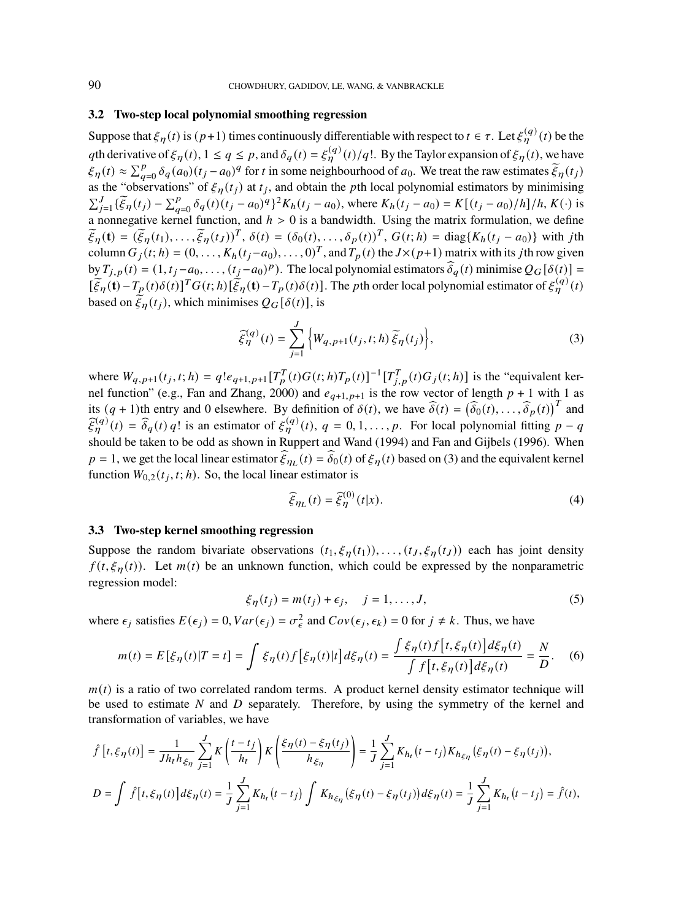### **3.2 Two-step local polynomial smoothing regression**

Suppose that  $\xi_{\eta}(t)$  is  $(p+1)$  times continuously differentiable with respect to  $t \in \tau$ . Let  $\xi_{\eta}^{(q)}(t)$  be the qth derivative of  $\xi_{\eta}(t)$ ,  $1 \leq q \leq p$ , and  $\delta_{q}(t) = \xi_{\eta}^{(q)}(t)/q!$ . By the Taylor expansion of  $\xi_{\eta}(t)$ , we have  $\xi_{\eta}(t) \approx \sum_{q=0}^{p} \delta_q(a_0)(t_j - a_0)^q$  for t in some neighbourhood of  $a_0$ . We treat the raw estimates  $\tilde{\xi}_{\eta}(t_j)$ as the "observations" of  $\xi_{\eta}(t_j)$  at  $t_j$ , and obtain the pth local polynomial estimators by minimising  $\sum_{j=1}^{J} {\{\tilde{\xi}_\eta(t_j) - \sum_{q=0}^{p} \delta_q(t)(t_j - a_0)^q\}^2} K_h(t_j - a_0)$ , where  $K_h(t_j - a_0) = K[(t_j - a_0)/h]/h, K(\cdot)$  is a nonnegative kernel function, and  $h > 0$  is a bandwidth. Using the matrix formulation, we define  $\widetilde{\xi}_{\eta}(\mathbf{t}) = (\widetilde{\xi}_{\eta}(t_1), \ldots, \widetilde{\xi}_{\eta}(t_J))^T, \delta(t) = (\delta_0(t), \ldots, \delta_p(t))^T, G(t; h) = \text{diag}\{K_h(t_j - a_0)\}\$  with jth column  $G_j(t; h) = (0, \dots, K_h(t_j - a_0), \dots, 0)^T$ , and  $T_p(t)$  the  $J \times (p+1)$  matrix with its jth row given by  $T_{j,p}(t) = (1, t_j - a_0, \ldots, (t_j - a_0)^p)$ . The local polynomial estimators  $\delta_q(t)$  minimise  $Q_G[\delta(t)] =$  $\left[\tilde{\xi}_{\eta}(\mathbf{t}) - T_{p}(t)\delta(t)\right]^{T} G(t; h)\left[\tilde{\xi}_{\eta}(\mathbf{t}) - T_{p}(t)\delta(t)\right]$ . The *p*th order local polynomial estimator of  $\xi_{\eta}^{(q)}(t)$ based on  $\mathcal{E}_n(t_i)$ , which minimises  $Q_G[\delta(t)]$ , is

$$
\widehat{\xi}_{\eta}^{(q)}(t) = \sum_{j=1}^{J} \left\{ W_{q,p+1}(t_j, t; h) \, \widetilde{\xi}_{\eta}(t_j) \right\},\tag{3}
$$

where  $W_{q,p+1}(t_j,t;h) = q!e_{q+1,p+1}[T_p^T(t)G(t;h)T_p(t)]^{-1}[T_{j,p}^T(t)G_j(t;h)]$  is the "equivalent kernel function" (e.g., Fan and Zhang, 2000) and  $e_{q+1, p+1}$  is the row vector of length  $p + 1$  with 1 as its  $(q + 1)$ th entry and 0 elsewhere. By definition of  $\delta(t)$ , we have  $\hat{\delta}(t) = (\hat{\delta}_0(t), \dots, \hat{\delta}_p(t))^T$  and  $\hat{\xi}_{\eta}^{(q)}(t) = \hat{\delta}_q(t) q!$  is an estimator of  $\xi_{\eta}^{(q)}(t)$ ,  $q = 0, 1, ..., p$ . For local polynomial fitting  $p - q$ should be taken to be odd as shown in Ruppert and Wand (1994) and Fan and Gijbels (1996). When  $p = 1$ , we get the local linear estimator  $\xi_{\eta_L}(t) = \delta_0(t)$  of  $\xi_{\eta}(t)$  based on (3) and the equivalent kernel function  $W_{0,2}(t_j, t; h)$ . So, the local linear estimator is

$$
\widehat{\xi}_{\eta_L}(t) = \widehat{\xi}_{\eta}^{(0)}(t|x). \tag{4}
$$

### **3.3 Two-step kernel smoothing regression**

Suppose the random bivariate observations  $(t_1, \xi_n(t_1)), \ldots, (t_J, \xi_n(t_J))$  each has joint density  $f(t, \xi_n(t))$ . Let  $m(t)$  be an unknown function, which could be expressed by the nonparametric regression model:

$$
\xi_{\eta}(t_j) = m(t_j) + \epsilon_j, \quad j = 1, \dots, J,
$$
\n(5)

where  $\epsilon_j$  satisfies  $E(\epsilon_j) = 0$ ,  $Var(\epsilon_j) = \sigma_{\epsilon}^2$  and  $Cov(\epsilon_j, \epsilon_k) = 0$  for  $j \neq k$ . Thus, we have

$$
m(t) = E[\xi_{\eta}(t)|T = t] = \int \xi_{\eta}(t) f[\xi_{\eta}(t)|t] d\xi_{\eta}(t) = \frac{\int \xi_{\eta}(t) f[t, \xi_{\eta}(t)] d\xi_{\eta}(t)}{\int f[t, \xi_{\eta}(t)] d\xi_{\eta}(t)} = \frac{N}{D}.
$$
 (6)

 $m(t)$  is a ratio of two correlated random terms. A product kernel density estimator technique will be used to estimate  $N$  and  $D$  separately. Therefore, by using the symmetry of the kernel and transformation of variables, we have

$$
\hat{f}[t,\xi_{\eta}(t)] = \frac{1}{Jh_t h_{\xi_{\eta}}} \sum_{j=1}^{J} K\left(\frac{t-t_j}{h_t}\right) K\left(\frac{\xi_{\eta}(t) - \xi_{\eta}(t_j)}{h_{\xi_{\eta}}}\right) = \frac{1}{J} \sum_{j=1}^{J} K_{h_t}(t-t_j) K_{h_{\xi_{\eta}}}(\xi_{\eta}(t) - \xi_{\eta}(t_j)),
$$
\n
$$
D = \int \hat{f}[t,\xi_{\eta}(t)] d\xi_{\eta}(t) = \frac{1}{J} \sum_{j=1}^{J} K_{h_t}(t-t_j) \int K_{h_{\xi_{\eta}}}(\xi_{\eta}(t) - \xi_{\eta}(t_j)) d\xi_{\eta}(t) = \frac{1}{J} \sum_{j=1}^{J} K_{h_t}(t-t_j) = \hat{f}(t),
$$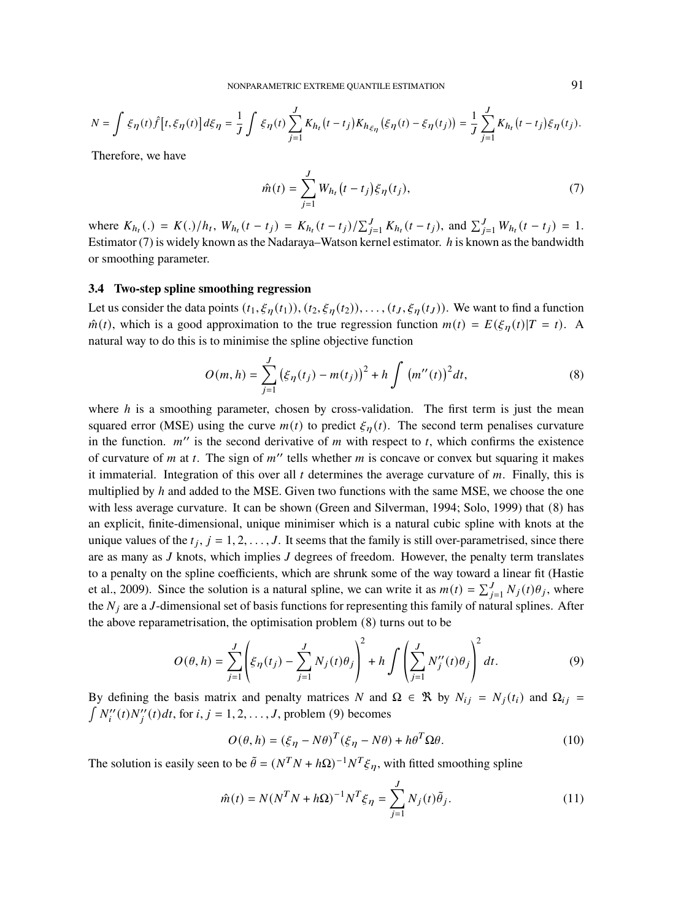$$
N=\int \xi_\eta(t)\widehat{f}\left[t,\xi_\eta(t)\right]d\xi_\eta=\frac{1}{J}\int \xi_\eta(t)\sum_{j=1}^J K_{h_t}\big(t-t_j\big)K_{h_{\xi_\eta}}\big(\xi_\eta(t)-\xi_\eta(t_j)\big)=\frac{1}{J}\sum_{j=1}^J K_{h_t}\big(t-t_j\big)\xi_\eta(t_j).
$$

Therefore, we have

$$
\hat{m}(t) = \sum_{j=1}^{J} W_{h_t}(t - t_j) \xi_{\eta}(t_j),
$$
\n(7)

where  $K_{h_t}$  (.) =  $K(.)/h_t$ ,  $W_{h_t}$  ( $t - t_j$ ) =  $K_{h_t}$  ( $t - t_j$ )/ $\sum_{j=1}^{J} K_{h_t}$  ( $t - t_j$ ), and  $\sum_{j=1}^{J} W_{h_t}$  ( $t - t_j$ ) = 1. Estimator (7) is widely known as the Nadaraya–Watson kernel estimator.  $h$  is known as the bandwidth or smoothing parameter.

## **3.4 Two-step spline smoothing regression**

Let us consider the data points  $(t_1, \xi_n(t_1)), (t_2, \xi_n(t_2)), \ldots, (t_j, \xi_n(t_j)).$  We want to find a function  $\hat{m}(t)$ , which is a good approximation to the true regression function  $m(t) = E(\xi_n(t)|T = t)$ . A natural way to do this is to minimise the spline objective function

$$
O(m, h) = \sum_{j=1}^{J} (\xi_{\eta}(t_j) - m(t_j))^2 + h \int (m''(t))^2 dt,
$$
 (8)

where  $h$  is a smoothing parameter, chosen by cross-validation. The first term is just the mean squared error (MSE) using the curve  $m(t)$  to predict  $\xi_{\eta}(t)$ . The second term penalises curvature in the function.  $m''$  is the second derivative of  $m$  with respect to  $t$ , which confirms the existence of curvature of m at t. The sign of  $m''$  tells whether m is concave or convex but squaring it makes it immaterial. Integration of this over all  $t$  determines the average curvature of  $m$ . Finally, this is multiplied by  $h$  and added to the MSE. Given two functions with the same MSE, we choose the one with less average curvature. It can be shown (Green and Silverman, 1994; Solo, 1999) that (8) has an explicit, finite-dimensional, unique minimiser which is a natural cubic spline with knots at the unique values of the  $t_j$ ,  $j = 1, 2, ..., J$ . It seems that the family is still over-parametrised, since there are as many as  $J$  knots, which implies  $J$  degrees of freedom. However, the penalty term translates to a penalty on the spline coefficients, which are shrunk some of the way toward a linear fit (Hastie et al., 2009). Since the solution is a natural spline, we can write it as  $m(t) = \sum_{j=1}^{J} N_j(t)\theta_j$ , where the  $N_i$  are a J-dimensional set of basis functions for representing this family of natural splines. After the above reparametrisation, the optimisation problem (8) turns out to be

$$
O(\theta, h) = \sum_{j=1}^{J} \left( \xi_{\eta}(t_j) - \sum_{j=1}^{J} N_j(t) \theta_j \right)^2 + h \int \left( \sum_{j=1}^{J} N_j''(t) \theta_j \right)^2 dt.
$$
 (9)

By defining the basis matrix and penalty matrices N and  $\Omega \in \mathcal{R}$  by  $N_{ij} = N_j(t_i)$  and  $\Omega_{ij} =$  $N_i''(t)N_j''(t)dt$ , for  $i, j = 1, 2, \ldots, J$ , problem (9) becomes

$$
O(\theta, h) = (\xi_{\eta} - N\theta)^{T} (\xi_{\eta} - N\theta) + h\theta^{T} \Omega \theta.
$$
 (10)

The solution is easily seen to be  $\tilde{\theta} = (N^T N + h\Omega)^{-1} N^T \xi_{\eta}$ , with fitted smoothing spline

$$
\hat{m}(t) = N(N^T N + h\Omega)^{-1} N^T \xi_{\eta} = \sum_{j=1}^{J} N_j(t) \tilde{\theta}_j.
$$
\n(11)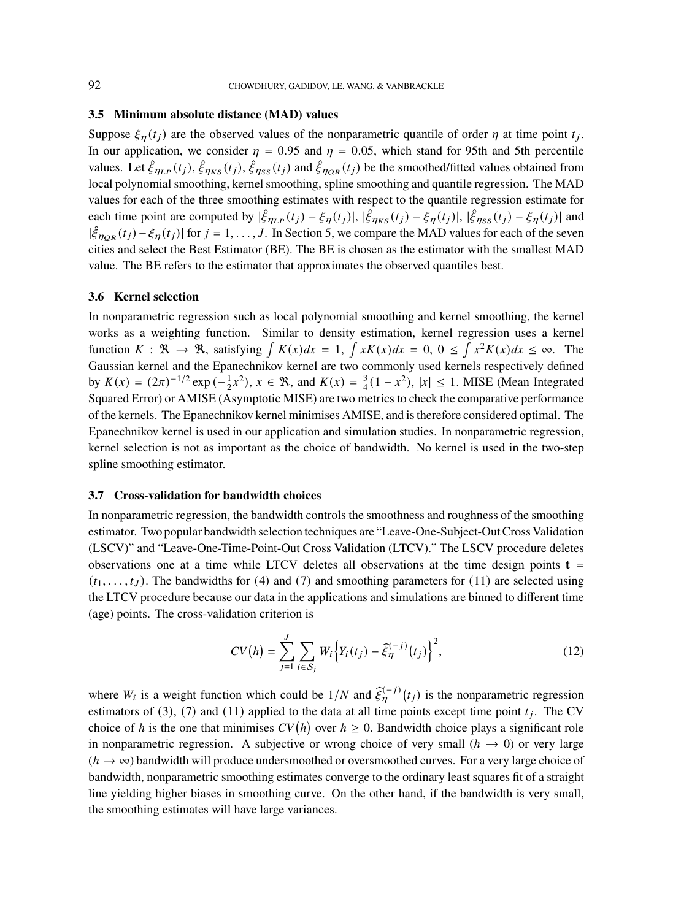#### **3.5 Minimum absolute distance (MAD) values**

Suppose  $\xi_{\eta}(t_j)$  are the observed values of the nonparametric quantile of order  $\eta$  at time point  $t_j$ . In our application, we consider  $\eta = 0.95$  and  $\eta = 0.05$ , which stand for 95th and 5th percentile values. Let  $\hat{\xi}_{\eta_{LP}}(t_j), \hat{\xi}_{\eta_{KS}}(t_j), \hat{\xi}_{\eta_{SS}}(t_j)$  and  $\hat{\xi}_{\eta_{QR}}(t_j)$  be the smoothed/fitted values obtained from local polynomial smoothing, kernel smoothing, spline smoothing and quantile regression. The MAD values for each of the three smoothing estimates with respect to the quantile regression estimate for each time point are computed by  $|\hat{\xi}_{\eta_{LP}}(t_j) - \xi_{\eta}(t_j)|$ ,  $|\hat{\xi}_{\eta_{KS}}(t_j) - \xi_{\eta}(t_j)|$ ,  $|\hat{\xi}_{\eta_{SS}}(t_j) - \xi_{\eta}(t_j)|$  and  $|\hat{\xi}_{\eta_{QR}}(t_j) - \xi_{\eta}(t_j)|$  for  $j = 1, ..., J$ . In Section 5, we compare the MAD values for each of the seven cities and select the Best Estimator (BE). The BE is chosen as the estimator with the smallest MAD value. The BE refers to the estimator that approximates the observed quantiles best.

#### **3.6 Kernel selection**

In nonparametric regression such as local polynomial smoothing and kernel smoothing, the kernel works as a weighting function. Similar to density estimation, kernel regression uses a kernel function  $K : \mathbb{R} \to \mathbb{R}$ , satisfying  $\int K(x)dx = 1$ ,  $\int xK(x)dx = 0$ ,  $0 \le \int x^2K(x)dx \le \infty$ . The Gaussian kernel and the Epanechnikov kernel are two commonly used kernels respectively defined by  $K(x) = (2\pi)^{-1/2} \exp(-\frac{1}{2}x^2), x \in \mathbb{R}$ , and  $K(x) = \frac{3}{4}(1 - x^2), |x| \le 1$ . MISE (Mean Integrated Squared Error) or AMISE (Asymptotic MISE) are two metrics to check the comparative performance of the kernels. The Epanechnikov kernel minimises AMISE, and is therefore considered optimal. The Epanechnikov kernel is used in our application and simulation studies. In nonparametric regression, kernel selection is not as important as the choice of bandwidth. No kernel is used in the two-step spline smoothing estimator.

#### **3.7 Cross-validation for bandwidth choices**

In nonparametric regression, the bandwidth controls the smoothness and roughness of the smoothing estimator. Two popular bandwidth selection techniques are "Leave-One-Subject-Out Cross Validation (LSCV)" and "Leave-One-Time-Point-Out Cross Validation (LTCV)." The LSCV procedure deletes observations one at a time while LTCV deletes all observations at the time design points  $t =$  $(t_1, \ldots, t_J)$ . The bandwidths for (4) and (7) and smoothing parameters for (11) are selected using the LTCV procedure because our data in the applications and simulations are binned to different time (age) points. The cross-validation criterion is

$$
CV(h) = \sum_{j=1}^{J} \sum_{i \in S_j} W_i \left\{ Y_i(t_j) - \widehat{\xi}_{\eta}^{(-j)}(t_j) \right\}^2,
$$
\n(12)

where  $W_i$  is a weight function which could be  $1/N$  and  $\hat{\xi}_{\eta}^{(-j)}(t_j)$  is the nonparametric regression estimators of (3), (7) and (11) applied to the data at all time points except time point  $t_j$ . The CV choice of h is the one that minimises  $CV(h)$  over  $h \ge 0$ . Bandwidth choice plays a significant role in nonparametric regression. A subjective or wrong choice of very small  $(h \rightarrow 0)$  or very large  $(h \rightarrow \infty)$  bandwidth will produce undersmoothed or oversmoothed curves. For a very large choice of bandwidth, nonparametric smoothing estimates converge to the ordinary least squares fit of a straight line yielding higher biases in smoothing curve. On the other hand, if the bandwidth is very small, the smoothing estimates will have large variances.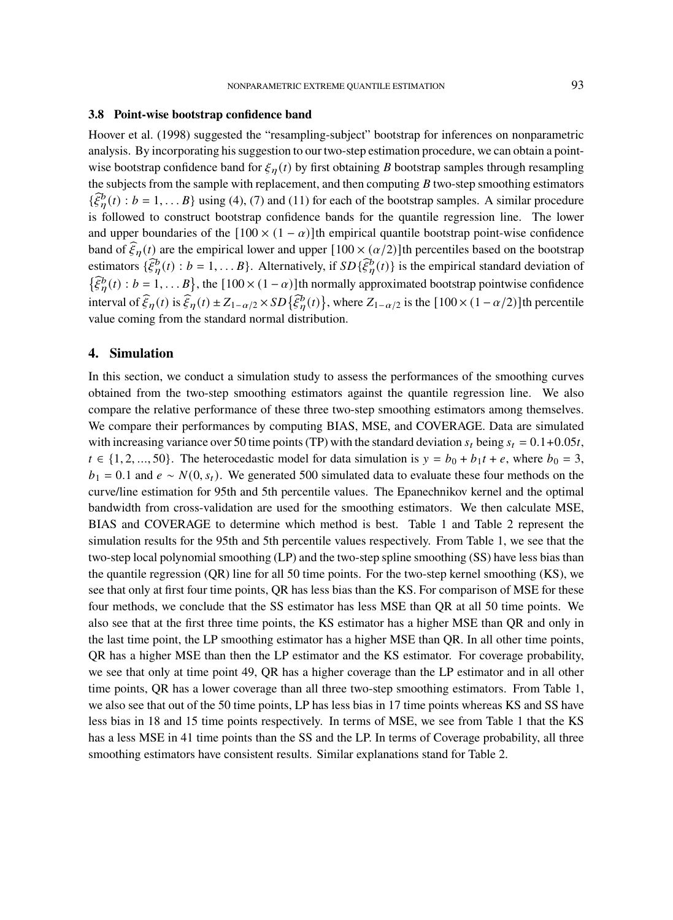#### **3.8 Point-wise bootstrap confidence band**

Hoover et al. (1998) suggested the "resampling-subject" bootstrap for inferences on nonparametric analysis. By incorporating his suggestion to our two-step estimation procedure, we can obtain a pointwise bootstrap confidence band for  $\xi_n(t)$  by first obtaining B bootstrap samples through resampling the subjects from the sample with replacement, and then computing  $B$  two-step smoothing estimators  $\{\hat{\xi}_{\eta}^{b}(t): b = 1, \ldots B\}$  using (4), (7) and (11) for each of the bootstrap samples. A similar procedure is followed to construct bootstrap confidence bands for the quantile regression line. The lower and upper boundaries of the  $[100 \times (1 - \alpha)]$ th empirical quantile bootstrap point-wise confidence band of  $\widehat{\xi}_{\eta}(t)$  are the empirical lower and upper  $[100 \times (\alpha/2)]$ th percentiles based on the bootstrap estimators  $\{\hat{\xi}_{\eta}^{b}(t) : b = 1, \dots B\}$ . Alternatively, if  $SD\{\hat{\xi}_{\eta}^{b}(t)\}$  is the empirical standard deviation of  $\{\widehat{\xi}_{\eta}^{b}(t): b = 1, \ldots, B\}$ , the  $[100 \times (1 - \alpha)]$ th normally approximated bootstrap pointwise confidence interval of  $\widehat{\xi}_{\eta}(t)$  is  $\widehat{\xi}_{\eta}(t) \pm Z_{1-\alpha/2} \times SD\{\widehat{\xi}_{\eta}^{b}(t)\}\,$ , where  $Z_{1-\alpha/2}$  is the  $[100 \times (1-\alpha/2)]$ th percentile value coming from the standard normal distribution.

## **4. Simulation**

In this section, we conduct a simulation study to assess the performances of the smoothing curves obtained from the two-step smoothing estimators against the quantile regression line. We also compare the relative performance of these three two-step smoothing estimators among themselves. We compare their performances by computing BIAS, MSE, and COVERAGE. Data are simulated with increasing variance over 50 time points (TP) with the standard deviation  $s_t$  being  $s_t = 0.1+0.05t$ ,  $t \in \{1, 2, ..., 50\}$ . The heterocedastic model for data simulation is  $y = b_0 + b_1 t + e$ , where  $b_0 = 3$ ,  $b_1 = 0.1$  and  $e \sim N(0, s_t)$ . We generated 500 simulated data to evaluate these four methods on the curve/line estimation for 95th and 5th percentile values. The Epanechnikov kernel and the optimal bandwidth from cross-validation are used for the smoothing estimators. We then calculate MSE, BIAS and COVERAGE to determine which method is best. Table 1 and Table 2 represent the simulation results for the 95th and 5th percentile values respectively. From Table 1, we see that the two-step local polynomial smoothing (LP) and the two-step spline smoothing (SS) have less bias than the quantile regression (QR) line for all 50 time points. For the two-step kernel smoothing (KS), we see that only at first four time points, QR has less bias than the KS. For comparison of MSE for these four methods, we conclude that the SS estimator has less MSE than QR at all 50 time points. We also see that at the first three time points, the KS estimator has a higher MSE than QR and only in the last time point, the LP smoothing estimator has a higher MSE than QR. In all other time points, QR has a higher MSE than then the LP estimator and the KS estimator. For coverage probability, we see that only at time point 49, QR has a higher coverage than the LP estimator and in all other time points, QR has a lower coverage than all three two-step smoothing estimators. From Table 1, we also see that out of the 50 time points, LP has less bias in 17 time points whereas KS and SS have less bias in 18 and 15 time points respectively. In terms of MSE, we see from Table 1 that the KS has a less MSE in 41 time points than the SS and the LP. In terms of Coverage probability, all three smoothing estimators have consistent results. Similar explanations stand for Table 2.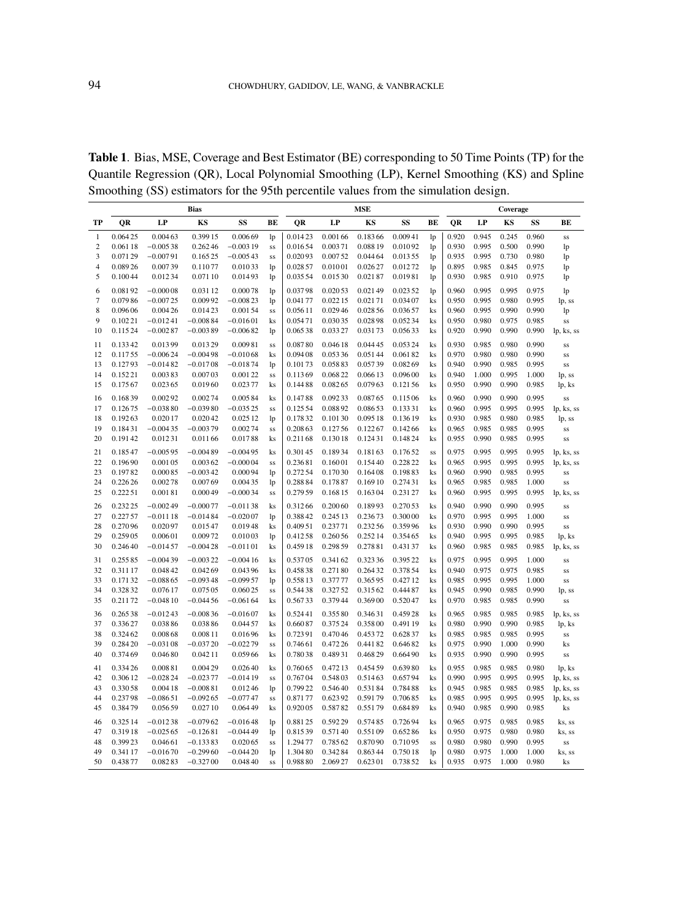**Table 1**. Bias, MSE, Coverage and Best Estimator (BE) corresponding to 50 Time Points (TP) for the Quantile Regression (QR), Local Polynomial Smoothing (LP), Kernel Smoothing (KS) and Spline Smoothing (SS) estimators for the 95th percentile values from the simulation design.

|                |          |            | Bias       |            |           |         |          | MSE      |         |                |       |       | Coverage |       |            |
|----------------|----------|------------|------------|------------|-----------|---------|----------|----------|---------|----------------|-------|-------|----------|-------|------------|
| TP             | OR       | LP         | KS         | SS         | ВE        | QR      | LP       | KS       | SS      | ВE             | QR    | LP    | KS       | SS    | BЕ         |
| 1              | 0.06425  | 0.00463    | 0.399 15   | 0.00669    | lp        | 0.01423 | 0.00166  | 0.18366  | 0.00941 | lp             | 0.920 | 0.945 | 0.245    | 0.960 | SS         |
| $\overline{c}$ | 0.061 18 | $-0.00538$ | 0.26246    | $-0.00319$ | SS        | 0.01654 | 0.00371  | 0.088 19 | 0.01092 | 1 <sub>p</sub> | 0.930 | 0.995 | 0.500    | 0.990 | lp         |
| 3              | 0.07129  | $-0.00791$ | 0.16525    | $-0.00543$ | SS        | 0.02093 | 0.00752  | 0.044 64 | 0.01355 | 1 <sub>p</sub> | 0.935 | 0.995 | 0.730    | 0.980 | lp         |
| 4              | 0.08926  | 0.00739    | 0.11077    | 0.01033    | lp        | 0.02857 | 0.01001  | 0.026 27 | 0.01272 | lp             | 0.895 | 0.985 | 0.845    | 0.975 | lp         |
| 5              | 0.10044  | 0.01234    | 0.071 10   | 0.01493    | lp        | 0.03554 | 0.01530  | 0.02187  | 0.01981 | lp             | 0.930 | 0.985 | 0.910    | 0.975 | lp         |
| 6              | 0.08192  | $-0.00008$ | 0.031 12   | 0.00078    | lp        | 0.03798 | 0.02053  | 0.02149  | 0.02352 | lp             | 0.960 | 0.995 | 0.995    | 0.975 | lp         |
| 7              | 0.07986  | $-0.00725$ | 0.00992    | $-0.00823$ | lp        | 0.04177 | 0.02215  | 0.02171  | 0.03407 | ks             | 0.950 | 0.995 | 0.980    | 0.995 | lp, ss     |
| 8              | 0.09606  | 0.00426    | 0.01423    | 0.00154    | SS        | 0.05611 | 0.02946  | 0.028 56 | 0.03657 | ks             | 0.960 | 0.995 | 0.990    | 0.990 | lp         |
| 9              | 0.10221  | $-0.01241$ | $-0.00884$ | $-0.01601$ | ks        | 0.05471 | 0.03035  | 0.02898  | 0.05234 | ks             | 0.950 | 0.980 | 0.975    | 0.985 | SS         |
| 10             | 0.11524  | $-0.00287$ | $-0.00389$ | $-0.00682$ | lp        | 0.06538 | 0.03327  | 0.03173  | 0.05633 | ks             | 0.920 | 0.990 | 0.990    | 0.990 | lp, ks, ss |
| 11             | 0.13342  | 0.01399    | 0.01329    | 0.00981    | <b>SS</b> | 0.08780 | 0.04618  | 0.044 45 | 0.05324 | $\mathbf{k}$ s | 0.930 | 0.985 | 0.980    | 0.990 | SS         |
| 12             | 0.11755  | $-0.00624$ | $-0.00498$ | $-0.01068$ | ks        | 0.09408 | 0.05336  | 0.05144  | 0.06182 | ks             | 0.970 | 0.980 | 0.980    | 0.990 | SS         |
| 13             | 0.12793  | $-0.01482$ | $-0.01708$ | $-0.01874$ | lp        | 0.10173 | 0.05883  | 0.05739  | 0.08269 | ks             | 0.940 | 0.990 | 0.985    | 0.995 | SS         |
| 14             | 0.15221  | 0.00383    | 0.00703    | 0.00122    | SS        | 0.11369 | 0.06822  | 0.06613  | 0.09600 | ks             | 0.940 | 1.000 | 0.995    | 1.000 | lp, ss     |
| 15             | 0.17567  | 0.02365    | 0.01960    | 0.02377    | ks        | 0.14488 | 0.08265  | 0.07963  | 0.12156 | ks             | 0.950 | 0.990 | 0.990    | 0.985 | lp, ks     |
| 16             | 0.16839  | 0.00292    | 0.00274    | 0.00584    | ks        | 0.14788 | 0.09233  | 0.08765  | 0.11506 | ks             | 0.960 | 0.990 | 0.990    | 0.995 | SS         |
| 17             | 0.12675  | $-0.03880$ | $-0.03980$ | $-0.03525$ | <b>SS</b> | 0.12554 | 0.08892  | 0.08653  | 0.13331 | ks             | 0.960 | 0.995 | 0.995    | 0.995 | lp, ks, ss |
| 18             | 0.19263  | 0.02017    | 0.02042    | 0.02512    | lp        | 0.17832 | 0.10130  | 0.095 18 | 0.13619 | ks             | 0.930 | 0.985 | 0.980    | 0.985 | lp, ss     |
| 19             | 0.18431  | $-0.00435$ | $-0.00379$ | 0.00274    | SS        | 0.20863 | 0.12756  | 0.12267  | 0.14266 | ks             | 0.965 | 0.985 | 0.985    | 0.995 | SS         |
| 20             | 0.19142  | 0.01231    | 0.01166    | 0.01788    | ks        | 0.21168 | 0.13018  | 0.12431  | 0.14824 | ks             | 0.955 | 0.990 | 0.985    | 0.995 | SS         |
| 21             | 0.18547  | $-0.00595$ | $-0.00489$ | $-0.00495$ | ks        | 0.30145 | 0.18934  | 0.18163  | 0.17652 | SS             | 0.975 | 0.995 | 0.995    | 0.995 | lp, ks, ss |
| 22             | 0.19690  | 0.00105    | 0.00362    | $-0.00004$ | <b>SS</b> | 0.23681 | 0.16001  | 0.15440  | 0.22822 | $\mathbf{k}$ s | 0.965 | 0.995 | 0.995    | 0.995 | lp, ks, ss |
| 23             | 0.19782  | 0.00085    | $-0.00342$ | 0.00094    | lp        | 0.27254 | 0.17030  | 0.16408  | 0.19883 | ks             | 0.960 | 0.990 | 0.985    | 0.995 | SS         |
| 24             | 0.226 26 | 0.00278    | 0.00769    | 0.00435    | lp        | 0.28884 | 0.17887  | 0.16910  | 0.27431 | ks             | 0.965 | 0.985 | 0.985    | 1.000 | SS         |
| 25             | 0.22251  | 0.00181    | 0.000 49   | $-0.00034$ | SS        | 0.27959 | 0.16815  | 0.16304  | 0.23127 | ks             | 0.960 | 0.995 | 0.995    | 0.995 | lp, ks, ss |
| 26             | 0.232 25 | $-0.00249$ | $-0.00077$ | $-0.01138$ | ks        | 0.31266 | 0.20060  | 0.18993  | 0.27053 | ks             | 0.940 | 0.990 | 0.990    | 0.995 | SS         |
| 27             | 0.227 57 | $-0.01118$ | $-0.01484$ | $-0.02007$ | lp        | 0.38842 | 0.245 13 | 0.23673  | 0.30000 | ks             | 0.970 | 0.995 | 0.995    | 1.000 | SS         |
| 28             | 0.27096  | 0.02097    | 0.01547    | 0.01948    | ks        | 0.40951 | 0.23771  | 0.23256  | 0.35996 | ks             | 0.930 | 0.990 | 0.990    | 0.995 | SS         |
| 29             | 0.25905  | 0.00601    | 0.00972    | 0.01003    | lp        | 0.41258 | 0.26056  | 0.25214  | 0.35465 | ks             | 0.940 | 0.995 | 0.995    | 0.985 | lp, ks     |
| 30             | 0.24640  | $-0.01457$ | $-0.00428$ | $-0.01101$ | ks        | 0.45918 | 0.29859  | 0.27881  | 0.43137 | ks             | 0.960 | 0.985 | 0.985    | 0.985 | lp, ks, ss |
| 31             | 0.25585  | $-0.00439$ | $-0.00322$ | $-0.00416$ | ks        | 0.53705 | 0.34162  | 0.323 36 | 0.39522 | ks             | 0.975 | 0.995 | 0.995    | 1.000 | SS         |
| 32             | 0.311 17 | 0.04842    | 0.04269    | 0.04396    | ks        | 0.45838 | 0.27180  | 0.26432  | 0.37854 | ks             | 0.940 | 0.975 | 0.975    | 0.985 | SS         |
| 33             | 0.17132  | $-0.08865$ | $-0.09348$ | $-0.09957$ | lp        | 0.55813 | 0.37777  | 0.36595  | 0.42712 | ks             | 0.985 | 0.995 | 0.995    | 1.000 | SS         |
| 34             | 0.32832  | 0.07617    | 0.075 05   | 0.06025    | SS        | 0.54438 | 0.32752  | 0.31562  | 0.44487 | ks             | 0.945 | 0.990 | 0.985    | 0.990 | lp, ss     |
| 35             | 0.21172  | $-0.04810$ | $-0.04456$ | $-0.06164$ | ks        | 0.56733 | 0.37944  | 0.36900  | 0.52047 | ks             | 0.970 | 0.985 | 0.985    | 0.990 | SS         |
| 36             | 0.26538  | $-0.01243$ | $-0.00836$ | $-0.01607$ | ks        | 0.52441 | 0.35580  | 0.34631  | 0.45928 | ks             | 0.965 | 0.985 | 0.985    | 0.985 | lp, ks, ss |
| 37             | 0.33627  | 0.03886    | 0.03886    | 0.04457    | ks        | 0.66087 | 0.37524  | 0.35800  | 0.49119 | ks             | 0.980 | 0.990 | 0.990    | 0.985 | lp, ks     |
| 38             | 0.324 62 | 0.00868    | 0.008 11   | 0.01696    | ks        | 0.72391 | 0.47046  | 0.45372  | 0.62837 | ks             | 0.985 | 0.985 | 0.985    | 0.995 | SS         |
| 39             | 0.28420  | $-0.03108$ | $-0.03720$ | $-0.02279$ | SS        | 0.74661 | 0.47226  | 0.44182  | 0.64682 | ks             | 0.975 | 0.990 | 1.000    | 0.990 | ks         |
| 40             | 0.37469  | 0.04680    | 0.04211    | 0.05966    | ks        | 0.78038 | 0.48931  | 0.46829  | 0.66490 | ks             | 0.935 | 0.990 | 0.990    | 0.995 | SS         |
| 41             | 0.33426  | 0.00881    | 0.00429    | 0.02640    | ks        | 0.76065 | 0.47213  | 0.454 59 | 0.63980 | ks             | 0.955 | 0.985 | 0.985    | 0.980 | lp, ks     |
| 42             | 0.30612  | $-0.02824$ | $-0.02377$ | $-0.01419$ | SS        | 0.76704 | 0.54803  | 0.51463  | 0.65794 | ks             | 0.990 | 0.995 | 0.995    | 0.995 | lp, ks, ss |
| 43             | 0.33058  | 0.00418    | $-0.00881$ | 0.01246    | lp        | 0.79922 | 0.54640  | 0.53184  | 0.78488 | ks             | 0.945 | 0.985 | 0.985    | 0.985 | lp, ks, ss |
| 44             | 0.23798  | $-0.08651$ | $-0.09265$ | $-0.07747$ | SS        | 0.87177 | 0.62392  | 0.59179  | 0.70685 | ks             | 0.985 | 0.995 | 0.995    | 0.995 | lp, ks, ss |
| 45             | 0.38479  | 0.05659    | 0.02710    | 0.06449    | ks        | 0.92005 | 0.58782  | 0.55179  | 0.68489 | ks             | 0.940 | 0.985 | 0.990    | 0.985 | ks         |
| 46             | 0.325 14 | $-0.01238$ | $-0.07962$ | $-0.01648$ | lp        | 0.88125 | 0.59229  | 0.57485  | 0.72694 | ks             | 0.965 | 0.975 | 0.985    | 0.985 | ks, ss     |
| 47             | 0.31918  | $-0.02565$ | $-0.12681$ | $-0.04449$ | lp        | 0.81539 | 0.57140  | 0.55109  | 0.65286 | ks             | 0.950 | 0.975 | 0.980    | 0.980 | ks, ss     |
| 48             | 0.39923  | 0.04661    | $-0.13383$ | 0.02065    | SS        | 1.29477 | 0.78562  | 0.87090  | 0.71095 | SS             | 0.980 | 0.980 | 0.990    | 0.995 | SS         |
| 49             | 0.341 17 | $-0.01670$ | $-0.29960$ | $-0.04420$ | lp        | 1.30480 | 0.34284  | 0.86344  | 0.75018 | 1 <sub>p</sub> | 0.980 | 0.975 | 1.000    | 1.000 | ks, ss     |
| 50             | 0.43877  | 0.08283    | $-0.32700$ | 0.04840    | SS        | 0.98880 | 2.06927  | 0.62301  | 0.73852 | $\mathbf{k}$ s | 0.935 | 0.975 | 1.000    | 0.980 | ks         |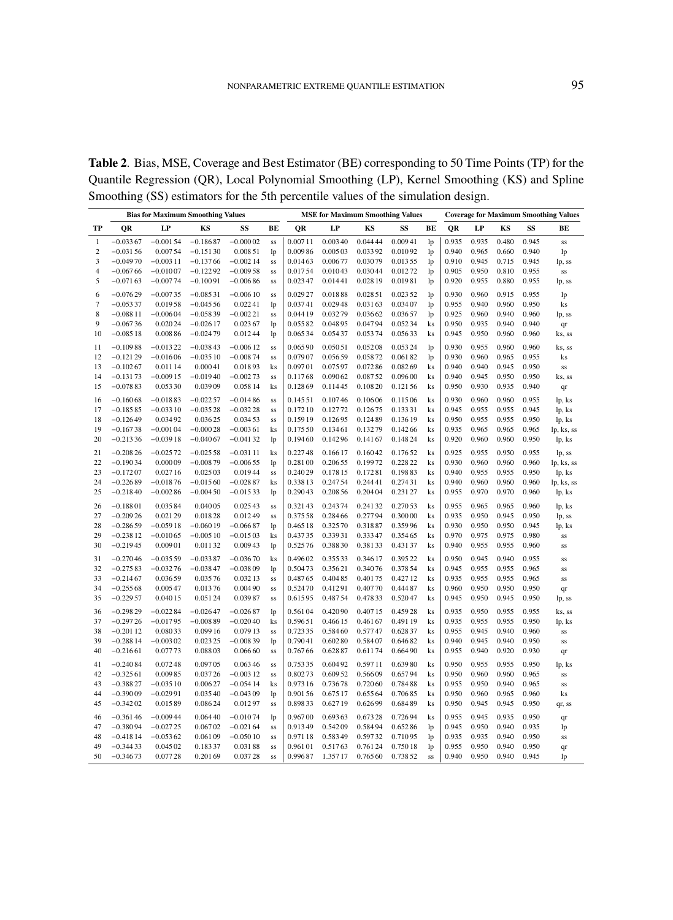**Table 2**. Bias, MSE, Coverage and Best Estimator (BE) corresponding to 50 Time Points (TP) for the Quantile Regression (QR), Local Polynomial Smoothing (LP), Kernel Smoothing (KS) and Spline Smoothing (SS) estimators for the 5th percentile values of the simulation design.

|                |            |            | <b>Bias for Maximum Smoothing Values</b> |            |    |          |          |          | <b>MSE for Maximum Smoothing Values</b> |                |           |       |       |       | <b>Coverage for Maximum Smoothing Values</b> |
|----------------|------------|------------|------------------------------------------|------------|----|----------|----------|----------|-----------------------------------------|----------------|-----------|-------|-------|-------|----------------------------------------------|
| TP             | QR         | LP         | KS                                       | SS         | BE | QR       | LP       | KS       | SS                                      | BE             | <b>OR</b> | LP    | KS    | SS    | BE                                           |
| 1              | $-0.03367$ | $-0.00154$ | $-0.18687$                               | $-0.00002$ | SS | 0.00711  | 0.00340  | 0.044 44 | 0.00941                                 | lp             | 0.935     | 0.935 | 0.480 | 0.945 | SS                                           |
| $\overline{c}$ | $-0.03156$ | 0.00754    | $-0.15130$                               | 0.00851    | lp | 0.00986  | 0.005 03 | 0.03392  | 0.01092                                 | lp             | 0.940     | 0.965 | 0.660 | 0.940 | lp                                           |
| 3              | $-0.04970$ | $-0.00311$ | $-0.13766$                               | $-0.00214$ | SS | 0.01463  | 0.00677  | 0.03079  | 0.01355                                 | lp             | 0.910     | 0.945 | 0.715 | 0.945 | lp, ss                                       |
| 4              | $-0.06766$ | $-0.01007$ | $-0.12292$                               | $-0.00958$ | SS | 0.01754  | 0.01043  | 0.03044  | 0.01272                                 | lp             | 0.905     | 0.950 | 0.810 | 0.955 | $_{\rm SS}$                                  |
| 5              | $-0.07163$ | $-0.00774$ | $-0.10091$                               | $-0.00686$ | SS | 0.02347  | 0.01441  | 0.028 19 | 0.01981                                 | lp             | 0.920     | 0.955 | 0.880 | 0.955 | lp, ss                                       |
| 6              | $-0.07629$ | $-0.00735$ | $-0.08531$                               | $-0.00610$ | SS | 0.02927  | 0.01888  | 0.02851  | 0.023 52                                | lp             | 0.930     | 0.960 | 0.915 | 0.955 | lp                                           |
| $\tau$         | $-0.05337$ | 0.01958    | $-0.04556$                               | 0.02241    | lp | 0.03741  | 0.02948  | 0.03163  | 0.03407                                 | lp             | 0.955     | 0.940 | 0.960 | 0.950 | ks                                           |
| 8              | $-0.08811$ | $-0.00604$ | $-0.05839$                               | $-0.00221$ | SS | 0.044 19 | 0.03279  | 0.03662  | 0.03657                                 | lp             | 0.925     | 0.960 | 0.940 | 0.960 | lp, ss                                       |
| 9              | $-0.06736$ | 0.02024    | $-0.02617$                               | 0.02367    | lp | 0.05582  | 0.04895  | 0.04794  | 0.05234                                 | ks             | 0.950     | 0.935 | 0.940 | 0.940 | qr                                           |
| 10             | $-0.08518$ | 0.00886    | $-0.02479$                               | 0.01244    | lp | 0.06534  | 0.05437  | 0.05374  | 0.05633                                 | ks             | 0.945     | 0.950 | 0.960 | 0.960 | ks, ss                                       |
| 11             | $-0.10988$ | $-0.01322$ | $-0.03843$                               | $-0.00612$ | SS | 0.06590  | 0.050 51 | 0.05208  | 0.05324                                 | 1 <sub>p</sub> | 0.930     | 0.955 | 0.960 | 0.960 | ks, ss                                       |
| 12             | $-0.12129$ | $-0.01606$ | $-0.03510$                               | $-0.00874$ | SS | 0.07907  | 0.05659  | 0.05872  | 0.06182                                 | lp             | 0.930     | 0.960 | 0.965 | 0.955 | ks                                           |
| 13             | $-0.10267$ | 0.011 14   | 0.00041                                  | 0.01893    | ks | 0.09701  | 0.07597  | 0.07286  | 0.08269                                 | ks             | 0.940     | 0.940 | 0.945 | 0.950 | SS                                           |
| 14             | $-0.13173$ | $-0.00915$ | $-0.01940$                               | $-0.00273$ | SS | 0.11768  | 0.09062  | 0.08752  | 0.09600                                 | ks             | 0.940     | 0.945 | 0.950 | 0.950 | ks, ss                                       |
| 15             | $-0.07883$ | 0.05330    | 0.03909                                  | 0.05814    | ks | 0.12869  | 0.11445  | 0.10820  | 0.12156                                 | ks             | 0.950     | 0.930 | 0.935 | 0.940 | qr                                           |
| 16             | $-0.16068$ | $-0.01883$ | $-0.02257$                               | $-0.01486$ | SS | 0.14551  | 0.10746  | 0.10606  | 0.11506                                 | ks             | 0.930     | 0.960 | 0.960 | 0.955 | lp, ks                                       |
| 17             | $-0.18585$ | $-0.03310$ | $-0.03528$                               | $-0.03228$ | SS | 0.17210  | 0.12772  | 0.12675  | 0.13331                                 | ks             | 0.945     | 0.955 | 0.955 | 0.945 | lp, ks                                       |
| 18             | $-0.12649$ | 0.03492    | 0.03625                                  | 0.03453    | SS | 0.15919  | 0.12695  | 0.12489  | 0.13619                                 | ks             | 0.950     | 0.955 | 0.955 | 0.950 | lp, ks                                       |
| 19             | $-0.16738$ | $-0.00104$ | $-0.00028$                               | $-0.00361$ | ks | 0.17550  | 0.13461  | 0.13279  | 0.14266                                 | ks             | 0.935     | 0.965 | 0.965 | 0.965 | lp, ks, ss                                   |
| 20             | $-0.21336$ | $-0.03918$ | $-0.04067$                               | $-0.04132$ | lp | 0.19460  | 0.14296  | 0.14167  | 0.14824                                 | ks             | 0.920     | 0.960 | 0.960 | 0.950 | lp, ks                                       |
| 21             | $-0.20826$ | $-0.02572$ | $-0.02558$                               | $-0.03111$ | ks | 0.22748  | 0.16617  | 0.16042  | 0.17652                                 | ks             | 0.925     | 0.955 | 0.950 | 0.955 | lp, ss                                       |
| 22             | $-0.19034$ | 0.00009    | $-0.00879$                               | $-0.00655$ | lp | 0.28100  | 0.20655  | 0.19972  | 0.228 22                                | ks             | 0.930     | 0.960 | 0.960 | 0.960 | lp, ks, ss                                   |
| 23             | $-0.17207$ | 0.02716    | 0.025 03                                 | 0.01944    | SS | 0.24029  | 0.178 15 | 0.17281  | 0.19883                                 | ks             | 0.940     | 0.955 | 0.955 | 0.950 | lp, ks                                       |
| 24             | $-0.22689$ | $-0.01876$ | $-0.01560$                               | $-0.02887$ | ks | 0.33813  | 0.24754  | 0.24441  | 0.27431                                 | ks             | 0.940     | 0.960 | 0.960 | 0.960 | lp, ks, ss                                   |
| 25             | $-0.21840$ | $-0.00286$ | $-0.00450$                               | $-0.01533$ | lp | 0.29043  | 0.20856  | 0.20404  | 0.231 27                                | ks             | 0.955     | 0.970 | 0.970 | 0.960 | lp, ks                                       |
| 26             | $-0.18801$ | 0.03584    | 0.04005                                  | 0.02543    | SS | 0.32143  | 0.24374  | 0.24132  | 0.270 53                                | ks             | 0.955     | 0.965 | 0.965 | 0.960 | lp, ks                                       |
| 27             | $-0.20926$ | 0.02129    | 0.01828                                  | 0.01249    | SS | 0.375 58 | 0.28466  | 0.27794  | 0.30000                                 | ks             | 0.935     | 0.950 | 0.945 | 0.950 | lp, ss                                       |
| 28             | $-0.28659$ | $-0.05918$ | $-0.06019$                               | $-0.06687$ | lp | 0.46518  | 0.32570  | 0.31887  | 0.35996                                 | ks             | 0.930     | 0.950 | 0.950 | 0.945 | lp, ks                                       |
| 29             | $-0.23812$ | $-0.01065$ | $-0.00510$                               | $-0.01503$ | ks | 0.43735  | 0.33931  | 0.33347  | 0.35465                                 | ks             | 0.970     | 0.975 | 0.975 | 0.980 | SS                                           |
| 30             | $-0.21945$ | 0.00901    | 0.01132                                  | 0.00943    | lp | 0.52576  | 0.38830  | 0.38133  | 0.43137                                 | ks             | 0.940     | 0.955 | 0.955 | 0.960 | SS                                           |
| 31             | $-0.27046$ | $-0.03559$ | $-0.03387$                               | $-0.03670$ | ks | 0.49602  | 0.35533  | 0.34617  | 0.39522                                 | ks             | 0.950     | 0.945 | 0.940 | 0.955 | SS                                           |
| 32             | $-0.27583$ | $-0.03276$ | $-0.03847$                               | $-0.03809$ | lp | 0.50473  | 0.35621  | 0.34076  | 0.378 54                                | ks             | 0.945     | 0.955 | 0.955 | 0.965 | SS                                           |
| 33             | $-0.21467$ | 0.03659    | 0.03576                                  | 0.03213    | SS | 0.48765  | 0.40485  | 0.40175  | 0.42712                                 | ks             | 0.935     | 0.955 | 0.955 | 0.965 | SS                                           |
| 34             | $-0.25568$ | 0.00547    | 0.01376                                  | 0.00490    | SS | 0.52470  | 0.41291  | 0.40770  | 0.44487                                 | ks             | 0.960     | 0.950 | 0.950 | 0.950 | qr                                           |
| 35             | $-0.22957$ | 0.04015    | 0.05124                                  | 0.03987    | SS | 0.61595  | 0.48754  | 0.47833  | 0.52047                                 | ks             | 0.945     | 0.950 | 0.945 | 0.950 | lp, ss                                       |
| 36             | $-0.29829$ | $-0.02284$ | $-0.02647$                               | $-0.02687$ | lp | 0.56104  | 0.42090  | 0.40715  | 0.45928                                 | ks             | 0.935     | 0.950 | 0.955 | 0.955 | ks, ss                                       |
| 37             | $-0.29726$ | $-0.01795$ | $-0.00889$                               | $-0.02040$ | ks | 0.59651  | 0.46615  | 0.46167  | 0.491 19                                | ks             | 0.935     | 0.955 | 0.955 | 0.950 | lp, ks                                       |
| 38             | $-0.20112$ | 0.08033    | 0.09916                                  | 0.07913    | SS | 0.72335  | 0.58460  | 0.57747  | 0.62837                                 | ks             | 0.955     | 0.945 | 0.940 | 0.960 | SS                                           |
| 39             | $-0.28814$ | $-0.00302$ | 0.023 25                                 | $-0.00839$ | lp | 0.79041  | 0.60280  | 0.58407  | 0.64682                                 | ks             | 0.940     | 0.945 | 0.940 | 0.950 | SS                                           |
| 40             | $-0.21661$ | 0.07773    | 0.08803                                  | 0.06660    | SS | 0.76766  | 0.62887  | 0.61174  | 0.66490                                 | ks             | 0.955     | 0.940 | 0.920 | 0.930 | qr                                           |
| 41             | $-0.24084$ | 0.07248    | 0.09705                                  | 0.06346    | SS | 0.75335  | 0.60492  | 0.59711  | 0.63980                                 | ks             | 0.950     | 0.955 | 0.955 | 0.950 | lp, ks                                       |
| 42             | $-0.32561$ | 0.00985    | 0.03726                                  | $-0.00312$ | SS | 0.80273  | 0.609 52 | 0.56609  | 0.65794                                 | ks             | 0.950     | 0.960 | 0.960 | 0.965 | SS                                           |
| 43             | $-0.38827$ | $-0.03510$ | 0.00627                                  | $-0.05414$ | ks | 0.973 16 | 0.73678  | 0.72060  | 0.78488                                 | ks             | 0.955     | 0.950 | 0.940 | 0.965 | SS                                           |
| 44             | $-0.39009$ | $-0.02991$ | 0.03540                                  | $-0.04309$ | lp | 0.90156  | 0.675 17 | 0.655 64 | 0.70685                                 | ks             | 0.950     | 0.960 | 0.965 | 0.960 | $\mathbf{k}$ s                               |
| 45             | $-0.34202$ | 0.01589    | 0.08624                                  | 0.01297    | SS | 0.89833  | 0.62719  | 0.62699  | 0.68489                                 | ks             | 0.950     | 0.945 | 0.945 | 0.950 | qr, ss                                       |
| 46             | $-0.36146$ | $-0.00944$ | 0.06440                                  | $-0.01074$ | lp | 0.96700  | 0.69363  | 0.67328  | 0.72694                                 | ks             | 0.955     | 0.945 | 0.935 | 0.950 | qr                                           |
| 47             | $-0.38094$ | $-0.02725$ | 0.06702                                  | $-0.02164$ | SS | 0.91349  | 0.54209  | 0.58494  | 0.65286                                 | lp             | 0.945     | 0.950 | 0.940 | 0.935 | lp                                           |
| 48             | $-0.41814$ | $-0.05362$ | 0.06109                                  | $-0.05010$ | SS | 0.97118  | 0.58349  | 0.59732  | 0.71095                                 | 1 <sub>p</sub> | 0.935     | 0.935 | 0.940 | 0.950 | SS                                           |
| 49             | $-0.34433$ | 0.04502    | 0.18337                                  | 0.03188    | SS | 0.96101  | 0.51763  | 0.76124  | 0.75018                                 | lp             | 0.955     | 0.950 | 0.940 | 0.950 | qr                                           |
| 50             | $-0.34673$ | 0.07728    | 0.20169                                  | 0.03728    | SS | 0.99687  | 1.35717  | 0.76560  | 0.73852                                 | SS             | 0.940     | 0.950 | 0.940 | 0.945 | lp                                           |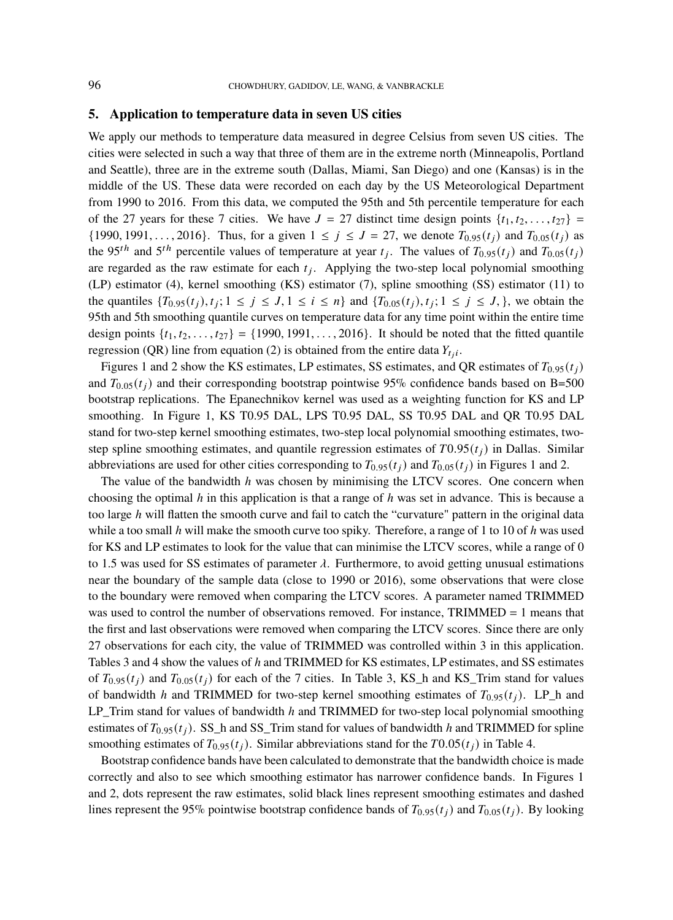### **5. Application to temperature data in seven US cities**

We apply our methods to temperature data measured in degree Celsius from seven US cities. The cities were selected in such a way that three of them are in the extreme north (Minneapolis, Portland and Seattle), three are in the extreme south (Dallas, Miami, San Diego) and one (Kansas) is in the middle of the US. These data were recorded on each day by the US Meteorological Department from 1990 to 2016. From this data, we computed the 95th and 5th percentile temperature for each of the 27 years for these 7 cities. We have  $J = 27$  distinct time design points  $\{t_1, t_2, \ldots, t_{27}\}$  $\{1990, 1991, \ldots, 2016\}$ . Thus, for a given  $1 \le j \le J = 27$ , we denote  $T_{0.95}(t_i)$  and  $T_{0.05}(t_i)$  as the 95<sup>th</sup> and 5<sup>th</sup> percentile values of temperature at year  $t_j$ . The values of  $T_{0.95}(t_j)$  and  $T_{0.05}(t_j)$ are regarded as the raw estimate for each  $t_j$ . Applying the two-step local polynomial smoothing (LP) estimator (4), kernel smoothing (KS) estimator (7), spline smoothing (SS) estimator (11) to the quantiles  $\{T_{0.95}(t_j), t_j; 1 \le j \le J, 1 \le i \le n\}$  and  $\{T_{0.05}(t_j), t_j; 1 \le j \le J, \}$ , we obtain the 95th and 5th smoothing quantile curves on temperature data for any time point within the entire time design points  $\{t_1, t_2, \ldots, t_{27}\} = \{1990, 1991, \ldots, 2016\}$ . It should be noted that the fitted quantile regression (QR) line from equation (2) is obtained from the entire data  $Y_{t_j}$ .

Figures 1 and 2 show the KS estimates, LP estimates, SS estimates, and QR estimates of  $T_{0.95}(t_i)$ and  $T_{0.05}(t_i)$  and their corresponding bootstrap pointwise 95% confidence bands based on B=500 bootstrap replications. The Epanechnikov kernel was used as a weighting function for KS and LP smoothing. In Figure 1, KS T0.95 DAL, LPS T0.95 DAL, SS T0.95 DAL and QR T0.95 DAL stand for two-step kernel smoothing estimates, two-step local polynomial smoothing estimates, twostep spline smoothing estimates, and quantile regression estimates of  $T0.95(t_i)$  in Dallas. Similar abbreviations are used for other cities corresponding to  $T_{0.95}(t_i)$  and  $T_{0.05}(t_i)$  in Figures 1 and 2.

The value of the bandwidth  $h$  was chosen by minimising the LTCV scores. One concern when choosing the optimal  $h$  in this application is that a range of  $h$  was set in advance. This is because a too large  $h$  will flatten the smooth curve and fail to catch the "curvature" pattern in the original data while a too small h will make the smooth curve too spiky. Therefore, a range of 1 to 10 of h was used for KS and LP estimates to look for the value that can minimise the LTCV scores, while a range of 0 to 1.5 was used for SS estimates of parameter  $\lambda$ . Furthermore, to avoid getting unusual estimations near the boundary of the sample data (close to 1990 or 2016), some observations that were close to the boundary were removed when comparing the LTCV scores. A parameter named TRIMMED was used to control the number of observations removed. For instance, TRIMMED = 1 means that the first and last observations were removed when comparing the LTCV scores. Since there are only 27 observations for each city, the value of TRIMMED was controlled within 3 in this application. Tables 3 and 4 show the values of h and TRIMMED for KS estimates, LP estimates, and SS estimates of  $T_{0.95}(t_i)$  and  $T_{0.05}(t_i)$  for each of the 7 cities. In Table 3, KS\_h and KS\_Trim stand for values of bandwidth h and TRIMMED for two-step kernel smoothing estimates of  $T_{0.95}(t_i)$ . LP\_h and LP\_Trim stand for values of bandwidth h and TRIMMED for two-step local polynomial smoothing estimates of  $T_{0.95}(t_i)$ . SS\_h and SS\_Trim stand for values of bandwidth h and TRIMMED for spline smoothing estimates of  $T_0$   $_{95}(t_i)$ . Similar abbreviations stand for the  $T0.05(t_i)$  in Table 4.

Bootstrap confidence bands have been calculated to demonstrate that the bandwidth choice is made correctly and also to see which smoothing estimator has narrower confidence bands. In Figures 1 and 2, dots represent the raw estimates, solid black lines represent smoothing estimates and dashed lines represent the 95% pointwise bootstrap confidence bands of  $T_{0.95}(t_i)$  and  $T_{0.05}(t_i)$ . By looking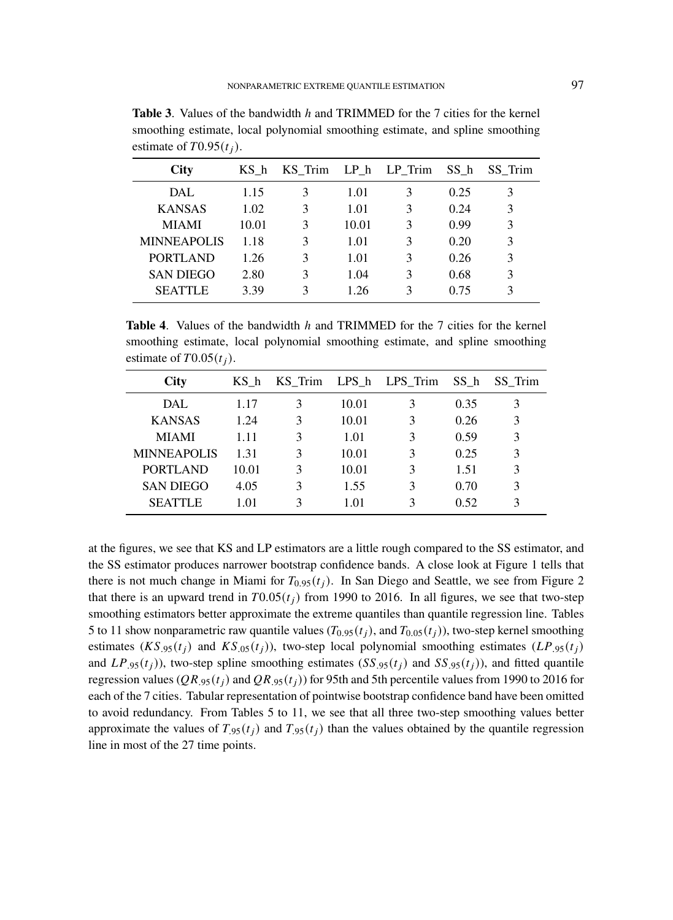| <b>City</b>        | KS h  | KS Trim |       | LP h LP Trim | SS h | SS Trim |
|--------------------|-------|---------|-------|--------------|------|---------|
| DAL.               | 1.15  | 3       | 1.01  | 3            | 0.25 | 3       |
| <b>KANSAS</b>      | 1.02  | 3       | 1.01  | 3            | 0.24 | 3       |
| <b>MIAMI</b>       | 10.01 | 3       | 10.01 | 3            | 0.99 | 3       |
| <b>MINNEAPOLIS</b> | 1.18  | 3       | 1.01  | 3            | 0.20 | 3       |
| <b>PORTLAND</b>    | 1.26  | 3       | 1.01  | 3            | 0.26 | 3       |
| <b>SAN DIEGO</b>   | 2.80  | 3       | 1.04  | 3            | 0.68 | 3       |
| <b>SEATTLE</b>     | 3.39  | 3       | 1.26  | 3            | 0.75 |         |
|                    |       |         |       |              |      |         |

**Table 3.** Values of the bandwidth h and TRIMMED for the 7 cities for the kernel smoothing estimate, local polynomial smoothing estimate, and spline smoothing estimate of  $T0.95(t_i)$ .

**Table 4.** Values of the bandwidth h and TRIMMED for the 7 cities for the kernel smoothing estimate, local polynomial smoothing estimate, and spline smoothing estimate of  $T0.05(t_i)$ .

| <b>City</b>        | KS h  | KS Trim       |       | LPS h LPS Trim | SS h | SS Trim |
|--------------------|-------|---------------|-------|----------------|------|---------|
| DAL.               | 1.17  | 3             | 10.01 | 3              | 0.35 | 3       |
| <b>KANSAS</b>      | 1.24  | 3             | 10.01 | 3              | 0.26 | 3       |
| <b>MIAMI</b>       | 1.11  | 3             | 1.01  | 3              | 0.59 | 3       |
| <b>MINNEAPOLIS</b> | 1.31  | 3             | 10.01 | 3              | 0.25 | 3       |
| <b>PORTLAND</b>    | 10.01 | 3             | 10.01 | 3              | 1.51 | 3       |
| <b>SAN DIEGO</b>   | 4.05  | $\mathcal{R}$ | 1.55  | 3              | 0.70 | 3       |
| <b>SEATTLE</b>     | 1.01  | 3             | 1.01  | 3              | 0.52 | 3       |

at the figures, we see that KS and LP estimators are a little rough compared to the SS estimator, and the SS estimator produces narrower bootstrap confidence bands. A close look at Figure 1 tells that there is not much change in Miami for  $T_{0.95}(t_i)$ . In San Diego and Seattle, we see from Figure 2 that there is an upward trend in  $T0.05(t_i)$  from 1990 to 2016. In all figures, we see that two-step smoothing estimators better approximate the extreme quantiles than quantile regression line. Tables 5 to 11 show nonparametric raw quantile values  $(T_{0.95}(t_i))$ , and  $T_{0.05}(t_i)$ ), two-step kernel smoothing estimates  $(KS_{.95}(t_i))$  and  $KS_{.05}(t_i)$ , two-step local polynomial smoothing estimates  $(LP_{.95}(t_i))$ and  $LP_{.95}(t_i)$ , two-step spline smoothing estimates  $(SS_{.95}(t_i)$  and  $SS_{.95}(t_i)$ , and fitted quantile regression values ( $QR_{.95}(t_i)$  and  $QR_{.95}(t_i)$ ) for 95th and 5th percentile values from 1990 to 2016 for each of the 7 cities. Tabular representation of pointwise bootstrap confidence band have been omitted to avoid redundancy. From Tables 5 to 11, we see that all three two-step smoothing values better approximate the values of  $T_{.95}(t_i)$  and  $T_{.95}(t_j)$  than the values obtained by the quantile regression line in most of the 27 time points.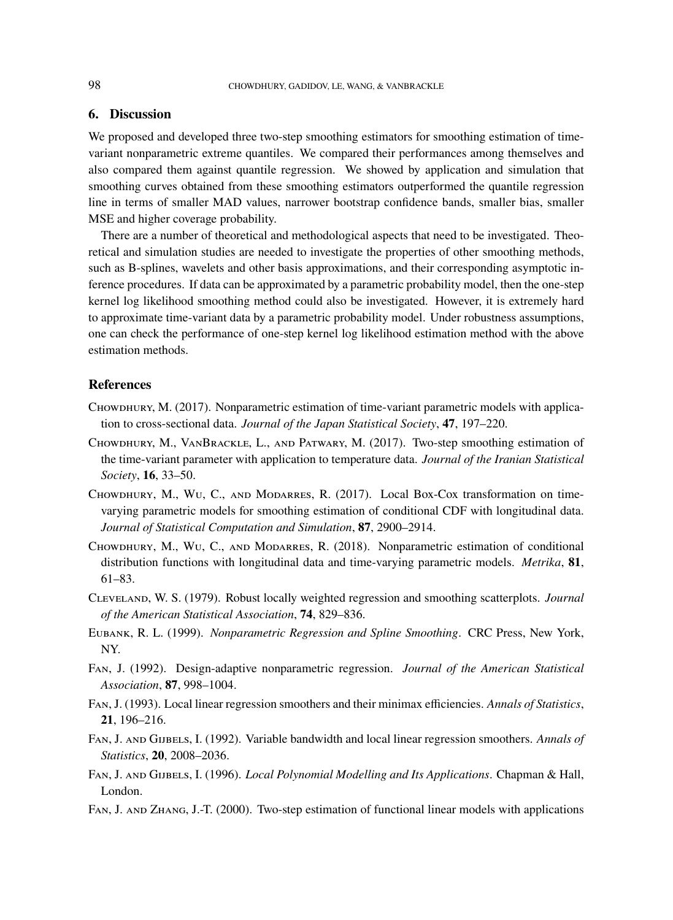## **6. Discussion**

We proposed and developed three two-step smoothing estimators for smoothing estimation of timevariant nonparametric extreme quantiles. We compared their performances among themselves and also compared them against quantile regression. We showed by application and simulation that smoothing curves obtained from these smoothing estimators outperformed the quantile regression line in terms of smaller MAD values, narrower bootstrap confidence bands, smaller bias, smaller MSE and higher coverage probability.

There are a number of theoretical and methodological aspects that need to be investigated. Theoretical and simulation studies are needed to investigate the properties of other smoothing methods, such as B-splines, wavelets and other basis approximations, and their corresponding asymptotic inference procedures. If data can be approximated by a parametric probability model, then the one-step kernel log likelihood smoothing method could also be investigated. However, it is extremely hard to approximate time-variant data by a parametric probability model. Under robustness assumptions, one can check the performance of one-step kernel log likelihood estimation method with the above estimation methods.

## **References**

- CHOWDHURY, M. (2017). Nonparametric estimation of time-variant parametric models with application to cross-sectional data. *Journal of the Japan Statistical Society*, **47**, 197–220.
- Chowdhury, M., VanBrackle, L., and Patwary, M. (2017). Two-step smoothing estimation of the time-variant parameter with application to temperature data. *Journal of the Iranian Statistical Society*, **16**, 33–50.
- Chowdhury, M., Wu, C., and Modarres, R. (2017). Local Box-Cox transformation on timevarying parametric models for smoothing estimation of conditional CDF with longitudinal data. *Journal of Statistical Computation and Simulation*, **87**, 2900–2914.
- Chowdhury, M., Wu, C., and Modarres, R. (2018). Nonparametric estimation of conditional distribution functions with longitudinal data and time-varying parametric models. *Metrika*, **81**, 61–83.
- Cleveland, W. S. (1979). Robust locally weighted regression and smoothing scatterplots. *Journal of the American Statistical Association*, **74**, 829–836.
- Eubank, R. L. (1999). *Nonparametric Regression and Spline Smoothing*. CRC Press, New York, NY.
- Fan, J. (1992). Design-adaptive nonparametric regression. *Journal of the American Statistical Association*, **87**, 998–1004.
- Fan, J. (1993). Local linear regression smoothers and their minimax efficiencies. *Annals of Statistics*, **21**, 196–216.
- Fan, J. and Gijbels, I. (1992). Variable bandwidth and local linear regression smoothers. *Annals of Statistics*, **20**, 2008–2036.
- Fan, J. and Gijbels, I. (1996). *Local Polynomial Modelling and Its Applications*. Chapman & Hall, London.
- Fan, J. and Zhang, J.-T. (2000). Two-step estimation of functional linear models with applications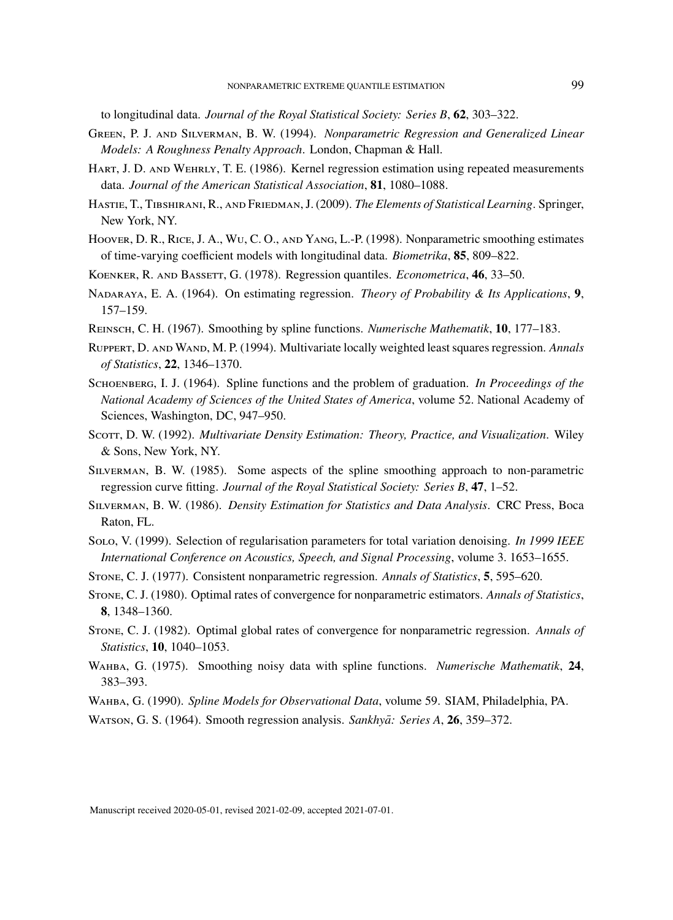to longitudinal data. *Journal of the Royal Statistical Society: Series B*, **62**, 303–322.

- Green, P. J. and Silverman, B. W. (1994). *Nonparametric Regression and Generalized Linear Models: A Roughness Penalty Approach*. London, Chapman & Hall.
- Hart, J. D. and Wehrly, T. E. (1986). Kernel regression estimation using repeated measurements data. *Journal of the American Statistical Association*, **81**, 1080–1088.
- Hastie, T., Tibshirani, R., and Friedman, J. (2009). *The Elements of Statistical Learning*. Springer, New York, NY.
- Hoover, D. R., Rice, J. A., Wu, C. O., and Yang, L.-P. (1998). Nonparametric smoothing estimates of time-varying coefficient models with longitudinal data. *Biometrika*, **85**, 809–822.
- Koenker, R. and Bassett, G. (1978). Regression quantiles. *Econometrica*, **46**, 33–50.
- Nadaraya, E. A. (1964). On estimating regression. *Theory of Probability & Its Applications*, **9**, 157–159.
- Reinsch, C. H. (1967). Smoothing by spline functions. *Numerische Mathematik*, **10**, 177–183.
- Ruppert, D. and Wand, M. P. (1994). Multivariate locally weighted least squares regression. *Annals of Statistics*, **22**, 1346–1370.
- Schoenberg, I. J. (1964). Spline functions and the problem of graduation. *In Proceedings of the National Academy of Sciences of the United States of America*, volume 52. National Academy of Sciences, Washington, DC, 947–950.
- Scorr, D. W. (1992). *Multivariate Density Estimation: Theory, Practice, and Visualization*. Wiley & Sons, New York, NY.
- Silverman, B. W. (1985). Some aspects of the spline smoothing approach to non-parametric regression curve fitting. *Journal of the Royal Statistical Society: Series B*, **47**, 1–52.
- Silverman, B. W. (1986). *Density Estimation for Statistics and Data Analysis*. CRC Press, Boca Raton, FL.
- Solo, V. (1999). Selection of regularisation parameters for total variation denoising. *In 1999 IEEE International Conference on Acoustics, Speech, and Signal Processing*, volume 3. 1653–1655.
- Stone, C. J. (1977). Consistent nonparametric regression. *Annals of Statistics*, **5**, 595–620.
- Stone, C. J. (1980). Optimal rates of convergence for nonparametric estimators. *Annals of Statistics*, **8**, 1348–1360.
- Stone, C. J. (1982). Optimal global rates of convergence for nonparametric regression. *Annals of Statistics*, **10**, 1040–1053.
- Wahba, G. (1975). Smoothing noisy data with spline functions. *Numerische Mathematik*, **24**, 383–393.
- Wahba, G. (1990). *Spline Models for Observational Data*, volume 59. SIAM, Philadelphia, PA.
- WATSON, G. S. (1964). Smooth regression analysis. *Sankhyā: Series A*, **26**, 359–372.

Manuscript received 2020-05-01, revised 2021-02-09, accepted 2021-07-01.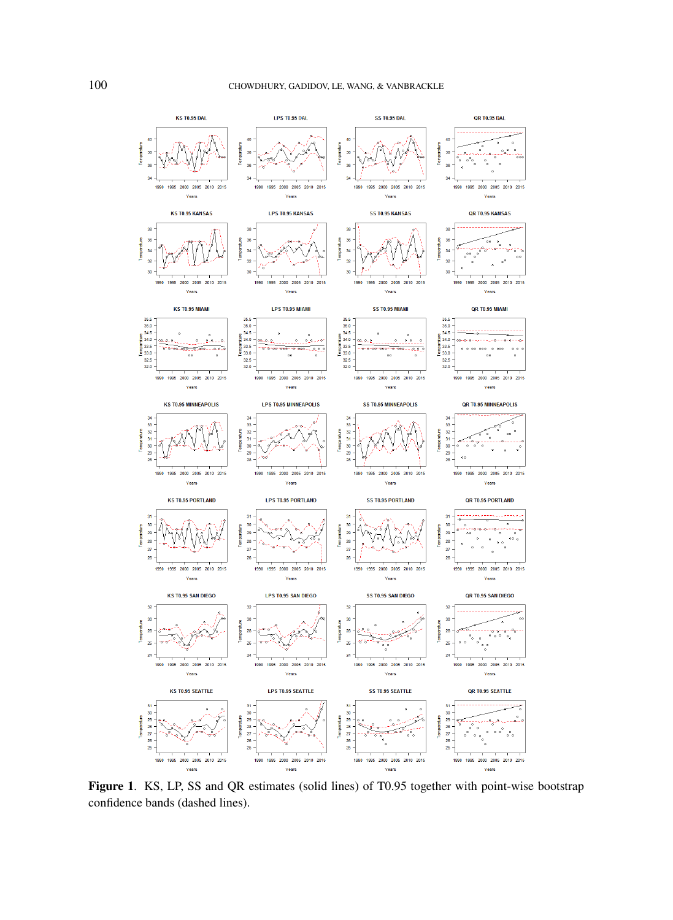

**Figure 1**. KS, LP, SS and QR estimates (solid lines) of T0.95 together with point-wise bootstrap confidence bands (dashed lines).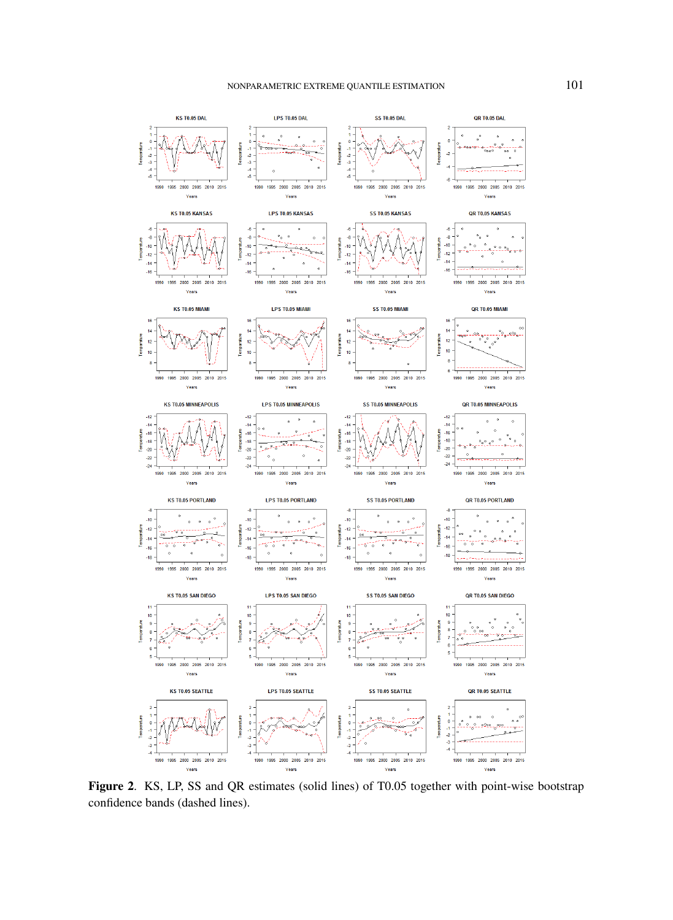

**Figure 2**. KS, LP, SS and QR estimates (solid lines) of T0.05 together with point-wise bootstrap confidence bands (dashed lines).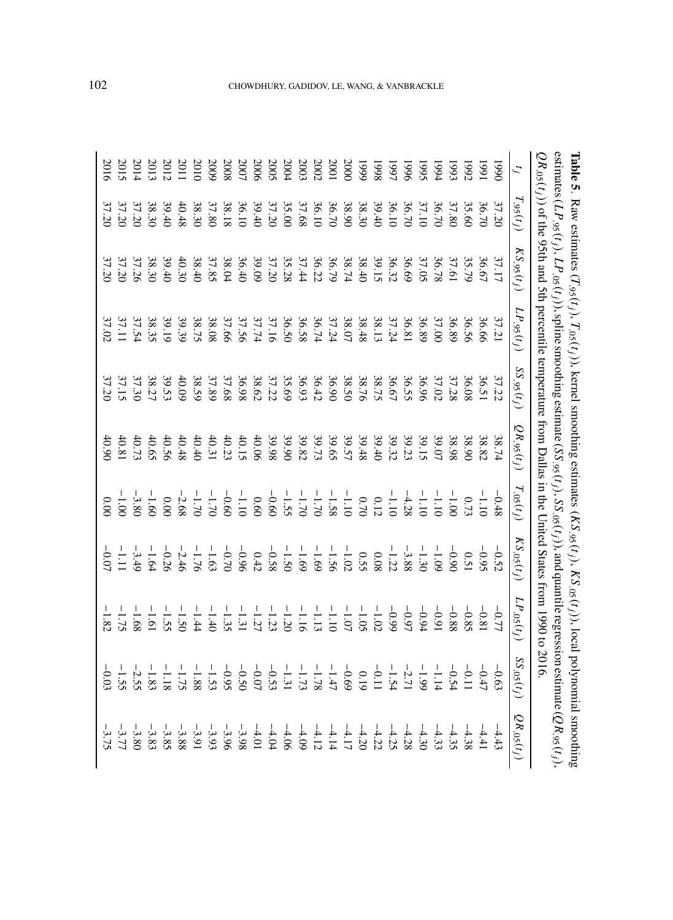|                  |                | QR.os(t,)) of the 95th and 5th percentile temperature from Dallas in the Chited States from 1990 to 2016                                                                                                                                                                                    |                                                                                                                                                                                                                                                                                             |                  |                 |                |                 |                 |                 |                           |
|------------------|----------------|---------------------------------------------------------------------------------------------------------------------------------------------------------------------------------------------------------------------------------------------------------------------------------------------|---------------------------------------------------------------------------------------------------------------------------------------------------------------------------------------------------------------------------------------------------------------------------------------------|------------------|-----------------|----------------|-----------------|-----------------|-----------------|---------------------------|
|                  | $T_{.95}(t_j)$ | $KS$ .95 $(t_j)$                                                                                                                                                                                                                                                                            | $LP$ , 95 $(t_j)$                                                                                                                                                                                                                                                                           | $SS$ .95 $(t_j)$ | $QR_{.95}(t_j)$ | $T_{.05}(t_j)$ | $KS_{.05}(t_j)$ | $LP_{.05}(t_j)$ | $SS_{.05}(t_j)$ | $\mathcal{Q}R_{.05}(t_j)$ |
| 0661             | 37.20          |                                                                                                                                                                                                                                                                                             |                                                                                                                                                                                                                                                                                             |                  |                 |                |                 |                 |                 |                           |
| 1661             |                | $\begin{array}{l} 37.1756 \\ 17.676 \\ 18.776 \\ 19.876 \\ 10.976 \\ 13.986 \\ 14.976 \\ 15.996 \\ 16.997 \\ 17.996 \\ 18.996 \\ 19.996 \\ 19.996 \\ 19.996 \\ 19.996 \\ 19.996 \\ 19.996 \\ 19.996 \\ 19.996 \\ 19.996 \\ 19.996 \\ 19.996 \\ 19.996 \\ 19.996 \\ 19.996 \\ 19.996 \\ 19.$ | 37.21<br>36.56<br>36.89                                                                                                                                                                                                                                                                     |                  |                 |                |                 |                 |                 |                           |
| 1992             |                |                                                                                                                                                                                                                                                                                             |                                                                                                                                                                                                                                                                                             |                  |                 |                |                 |                 |                 |                           |
| $-365$           |                |                                                                                                                                                                                                                                                                                             |                                                                                                                                                                                                                                                                                             |                  |                 |                |                 |                 |                 |                           |
| 1994             |                |                                                                                                                                                                                                                                                                                             |                                                                                                                                                                                                                                                                                             |                  |                 |                |                 |                 |                 |                           |
| 5661             |                |                                                                                                                                                                                                                                                                                             |                                                                                                                                                                                                                                                                                             |                  |                 |                |                 |                 |                 |                           |
| 9661             |                |                                                                                                                                                                                                                                                                                             |                                                                                                                                                                                                                                                                                             |                  |                 |                |                 |                 |                 |                           |
| 1997             |                |                                                                                                                                                                                                                                                                                             |                                                                                                                                                                                                                                                                                             |                  |                 |                |                 |                 |                 |                           |
| 8661             |                |                                                                                                                                                                                                                                                                                             | $\begin{array}{l} 37.003 \\ 37.003 \\ 20.01 \\ 37.003 \\ 38.003 \\ 39.003 \\ 30.003 \\ 31.003 \\ 32.003 \\ 33.003 \\ 34.003 \\ 35.003 \\ 36.003 \\ 37.003 \\ 38.003 \\ 39.003 \\ 30.003 \\ 31.003 \\ 32.003 \\ 33.003 \\ 34.003 \\ 35.003 \\ 36.003 \\ 37.003 \\ 38.003 \\ 39.003 \\ 39.00$ |                  |                 |                |                 |                 |                 |                           |
| 6661             |                |                                                                                                                                                                                                                                                                                             |                                                                                                                                                                                                                                                                                             |                  |                 |                |                 |                 |                 |                           |
| 2000             |                |                                                                                                                                                                                                                                                                                             |                                                                                                                                                                                                                                                                                             |                  |                 |                |                 |                 |                 |                           |
| 2001             |                |                                                                                                                                                                                                                                                                                             |                                                                                                                                                                                                                                                                                             |                  |                 |                |                 |                 |                 |                           |
| 2002             |                |                                                                                                                                                                                                                                                                                             |                                                                                                                                                                                                                                                                                             |                  |                 |                |                 |                 |                 |                           |
| 2003             |                |                                                                                                                                                                                                                                                                                             |                                                                                                                                                                                                                                                                                             |                  |                 |                |                 |                 |                 |                           |
| 2004             |                |                                                                                                                                                                                                                                                                                             |                                                                                                                                                                                                                                                                                             |                  |                 |                |                 |                 |                 |                           |
| 2005             |                |                                                                                                                                                                                                                                                                                             |                                                                                                                                                                                                                                                                                             |                  |                 |                |                 |                 |                 |                           |
| 2006             |                |                                                                                                                                                                                                                                                                                             |                                                                                                                                                                                                                                                                                             |                  | 40.06           |                |                 |                 |                 |                           |
| 2007             |                |                                                                                                                                                                                                                                                                                             |                                                                                                                                                                                                                                                                                             |                  |                 |                |                 |                 |                 |                           |
| 2008             |                |                                                                                                                                                                                                                                                                                             |                                                                                                                                                                                                                                                                                             |                  |                 |                |                 |                 |                 |                           |
| 5009             |                |                                                                                                                                                                                                                                                                                             |                                                                                                                                                                                                                                                                                             |                  |                 |                |                 |                 |                 |                           |
| 010              |                |                                                                                                                                                                                                                                                                                             |                                                                                                                                                                                                                                                                                             |                  |                 |                |                 |                 |                 |                           |
| 2011             |                |                                                                                                                                                                                                                                                                                             |                                                                                                                                                                                                                                                                                             |                  |                 |                |                 |                 |                 |                           |
| 2012             |                |                                                                                                                                                                                                                                                                                             |                                                                                                                                                                                                                                                                                             |                  |                 |                |                 |                 |                 |                           |
| 501              |                |                                                                                                                                                                                                                                                                                             |                                                                                                                                                                                                                                                                                             |                  |                 |                |                 |                 |                 |                           |
| 201 <sup>2</sup> |                |                                                                                                                                                                                                                                                                                             |                                                                                                                                                                                                                                                                                             |                  |                 |                |                 |                 |                 |                           |
| 2013             |                | $39.40$<br>$37.26$<br>$37.20$<br>$37.20$                                                                                                                                                                                                                                                    | $\begin{array}{r} 38.808 \\ 38.75 \\ 39.19 \\ 37.51 \\ 37.11 \\ 37.02 \\ 37.02 \\ \end{array}$                                                                                                                                                                                              |                  |                 |                |                 |                 |                 | $35.75$<br>$75.75$        |
|                  |                |                                                                                                                                                                                                                                                                                             |                                                                                                                                                                                                                                                                                             | 37.20            |                 |                |                 |                 | $-0.03$         |                           |

**Table 5**

. Raw estimates (

 $T_{.95}(t_j), T_{.05}(t_j)$ 

), kernel smoothing estimates (

 $KS_{.95}( t_j), KS_{.05}( t_j)$ 

), local polynomial smoothing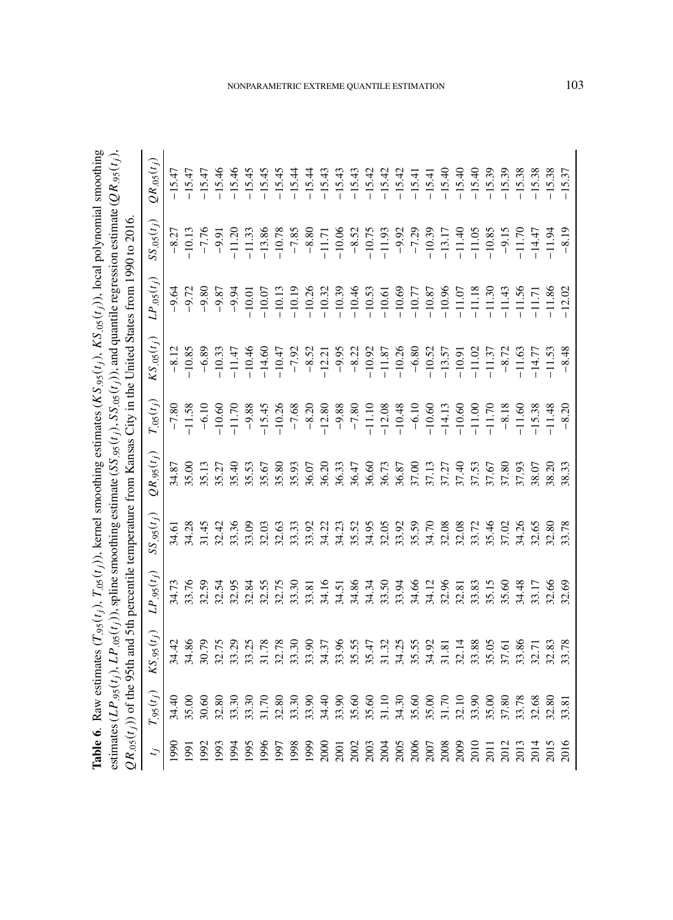| <b>Table 6.</b> Raw estimates $(T_{.95}(t_j), T_{.05}(t_j))$ , kernel smoothing estimates $(KS_{.95}(t_j), KS_{.05}(t_j))$ , local polynomial smo                        |
|--------------------------------------------------------------------------------------------------------------------------------------------------------------------------|
| estimates (LP $_{.95}(t_j)$ , LP $_{.05}(t_j)$ ), spline smoothing estimate (SS $_{.95}(t_j)$ , SS $_{.05}(t_j)$ ), and quantile regression estimate (QR $_{.95}(t_j)$ ) |
| $QR_{.05}(t_i)$ of the 95th and 5th percentile temperature from Kansas City in the United States from 1990 to 2016.                                                      |

|                              | $.95(t_j)$                                                 | $KS_{.95}(t_i)$ | $LP_{.95}(t_j)$ | $SS_{.95}(t_j)$ | $QR_{.95}(t_j)$                                                                                                                                                                                                                      | $T_{.05}(t_j)$                                                                                                                                                                                                                                                                                                  | $\mathbf{X}S_{.05}(t_j)$                                                                                                                                                                                                                                                                                                                                                  | $LP_{.05}(t_j)$ | $SS_{.05}(t_j)$ | $2R_{.05}(t_j)$ |
|------------------------------|------------------------------------------------------------|-----------------|-----------------|-----------------|--------------------------------------------------------------------------------------------------------------------------------------------------------------------------------------------------------------------------------------|-----------------------------------------------------------------------------------------------------------------------------------------------------------------------------------------------------------------------------------------------------------------------------------------------------------------|---------------------------------------------------------------------------------------------------------------------------------------------------------------------------------------------------------------------------------------------------------------------------------------------------------------------------------------------------------------------------|-----------------|-----------------|-----------------|
| 990                          |                                                            | 34.42           |                 |                 |                                                                                                                                                                                                                                      |                                                                                                                                                                                                                                                                                                                 |                                                                                                                                                                                                                                                                                                                                                                           |                 |                 |                 |
| <b>166</b>                   |                                                            |                 |                 |                 |                                                                                                                                                                                                                                      |                                                                                                                                                                                                                                                                                                                 |                                                                                                                                                                                                                                                                                                                                                                           |                 |                 |                 |
| 992                          |                                                            |                 |                 |                 |                                                                                                                                                                                                                                      |                                                                                                                                                                                                                                                                                                                 |                                                                                                                                                                                                                                                                                                                                                                           |                 |                 |                 |
| 993                          |                                                            |                 |                 |                 |                                                                                                                                                                                                                                      |                                                                                                                                                                                                                                                                                                                 |                                                                                                                                                                                                                                                                                                                                                                           |                 |                 |                 |
| 994                          | $4.40$<br>$3.5.60$<br>$3.30$<br>$3.30$<br>$3.30$<br>$3.30$ |                 |                 |                 | 87 00 11 12 13 14 16 16 16 16 16 16 16 16 16 16 16 17 18 18 19 19 10 10 11 11 12 13 14 15 16 16 17 18 18 19 19<br>34 16 17 17 18 19 19 19 19 19 19 19 19 19 19 19 10 10 11 11 12 13 14 15 16 17 18 18 18 18 18 18 18 18 18 18 18<br> | $-7.80$<br>11.58<br>$-6.10$<br>10.60<br>11.70                                                                                                                                                                                                                                                                   | $\begin{array}{l} 21\, \text{ }82\, \text{ }83\, \text{ }63\, \text{ }74\, \text{ }65\, \text{ }75\, \text{ }87\, \text{ }76\, \text{ }87\, \text{ }88\, \text{ }96\, \text{ }10\, \text{ }10\, \text{ }10\, \text{ }10\, \text{ }10\, \text{ }10\, \text{ }10\, \text{ }10\, \text{ }10\, \text{ }10\, \text{ }10\, \text{ }10\, \text{ }10\, \text{ }10\, \text{ }10\,$ |                 |                 |                 |
| 995                          |                                                            |                 |                 |                 |                                                                                                                                                                                                                                      |                                                                                                                                                                                                                                                                                                                 |                                                                                                                                                                                                                                                                                                                                                                           |                 |                 |                 |
| 996                          |                                                            |                 |                 |                 |                                                                                                                                                                                                                                      | $\begin{array}{l} 988 \\ 794 \\ 889 \\ 7994 \\ 8994 \\ 7994 \\ 7994 \\ 7994 \\ 7994 \\ 7994 \\ 7994 \\ 7994 \\ 7994 \\ 7994 \\ 7994 \\ 7994 \\ 7994 \\ 7994 \\ 7994 \\ 7994 \\ 7994 \\ 7994 \\ 7994 \\ 7994 \\ 7994 \\ 7994 \\ 7994 \\ 7994 \\ 7994 \\ 7994 \\ 7994 \\ 7994 \\ 7994 \\ 7994 \\ 7994 \\ 7994 \\$ |                                                                                                                                                                                                                                                                                                                                                                           |                 |                 |                 |
| 1997                         | 31.70<br>32.80                                             |                 |                 |                 |                                                                                                                                                                                                                                      |                                                                                                                                                                                                                                                                                                                 |                                                                                                                                                                                                                                                                                                                                                                           |                 |                 |                 |
| 998                          |                                                            |                 |                 |                 |                                                                                                                                                                                                                                      |                                                                                                                                                                                                                                                                                                                 |                                                                                                                                                                                                                                                                                                                                                                           |                 |                 |                 |
| <b>6661</b>                  |                                                            |                 |                 |                 |                                                                                                                                                                                                                                      |                                                                                                                                                                                                                                                                                                                 |                                                                                                                                                                                                                                                                                                                                                                           |                 |                 |                 |
| 2000                         |                                                            |                 |                 |                 |                                                                                                                                                                                                                                      |                                                                                                                                                                                                                                                                                                                 |                                                                                                                                                                                                                                                                                                                                                                           |                 |                 |                 |
| 2001                         |                                                            |                 |                 |                 |                                                                                                                                                                                                                                      |                                                                                                                                                                                                                                                                                                                 |                                                                                                                                                                                                                                                                                                                                                                           |                 |                 |                 |
| 2002                         |                                                            |                 |                 |                 |                                                                                                                                                                                                                                      |                                                                                                                                                                                                                                                                                                                 |                                                                                                                                                                                                                                                                                                                                                                           |                 |                 |                 |
| 2003                         |                                                            |                 |                 |                 |                                                                                                                                                                                                                                      |                                                                                                                                                                                                                                                                                                                 |                                                                                                                                                                                                                                                                                                                                                                           |                 |                 |                 |
| 2004                         |                                                            |                 |                 |                 |                                                                                                                                                                                                                                      |                                                                                                                                                                                                                                                                                                                 |                                                                                                                                                                                                                                                                                                                                                                           |                 |                 |                 |
| 2005                         |                                                            |                 |                 |                 |                                                                                                                                                                                                                                      |                                                                                                                                                                                                                                                                                                                 |                                                                                                                                                                                                                                                                                                                                                                           |                 |                 |                 |
|                              |                                                            |                 |                 |                 |                                                                                                                                                                                                                                      |                                                                                                                                                                                                                                                                                                                 |                                                                                                                                                                                                                                                                                                                                                                           |                 |                 |                 |
| 2006<br>2007<br>2008<br>2010 |                                                            |                 |                 |                 |                                                                                                                                                                                                                                      |                                                                                                                                                                                                                                                                                                                 |                                                                                                                                                                                                                                                                                                                                                                           |                 |                 |                 |
|                              |                                                            |                 |                 |                 |                                                                                                                                                                                                                                      |                                                                                                                                                                                                                                                                                                                 |                                                                                                                                                                                                                                                                                                                                                                           |                 |                 |                 |
|                              |                                                            |                 |                 |                 |                                                                                                                                                                                                                                      |                                                                                                                                                                                                                                                                                                                 |                                                                                                                                                                                                                                                                                                                                                                           |                 |                 |                 |
|                              |                                                            |                 |                 |                 |                                                                                                                                                                                                                                      |                                                                                                                                                                                                                                                                                                                 |                                                                                                                                                                                                                                                                                                                                                                           |                 |                 |                 |
| $\overline{201}$             |                                                            |                 |                 |                 |                                                                                                                                                                                                                                      |                                                                                                                                                                                                                                                                                                                 |                                                                                                                                                                                                                                                                                                                                                                           |                 |                 |                 |
| 2012                         |                                                            |                 |                 |                 |                                                                                                                                                                                                                                      |                                                                                                                                                                                                                                                                                                                 |                                                                                                                                                                                                                                                                                                                                                                           |                 |                 |                 |
|                              |                                                            |                 |                 |                 |                                                                                                                                                                                                                                      |                                                                                                                                                                                                                                                                                                                 |                                                                                                                                                                                                                                                                                                                                                                           |                 |                 |                 |
| $\frac{2013}{2014}$          |                                                            |                 |                 |                 |                                                                                                                                                                                                                                      |                                                                                                                                                                                                                                                                                                                 |                                                                                                                                                                                                                                                                                                                                                                           |                 |                 |                 |
| 2015                         |                                                            |                 |                 |                 |                                                                                                                                                                                                                                      |                                                                                                                                                                                                                                                                                                                 |                                                                                                                                                                                                                                                                                                                                                                           |                 |                 |                 |
| 2016                         | 13.81                                                      | 3.78            |                 |                 |                                                                                                                                                                                                                                      | $-8.20$                                                                                                                                                                                                                                                                                                         |                                                                                                                                                                                                                                                                                                                                                                           |                 |                 |                 |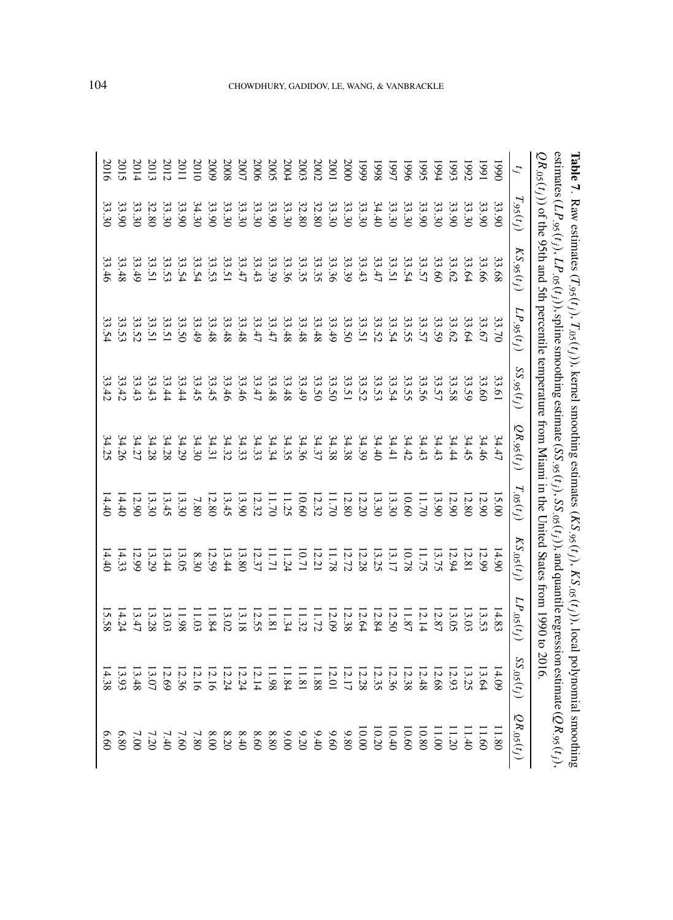|             |                | $O$ is $\frac{1}{2}$ of the 9.5th and 5th percentile remperature from Xiami in the Chired States from 1.990 to 1.01.07.07. |                                |                                           |                               |                |                 |                 |                  |                 |
|-------------|----------------|----------------------------------------------------------------------------------------------------------------------------|--------------------------------|-------------------------------------------|-------------------------------|----------------|-----------------|-----------------|------------------|-----------------|
|             | $T_{.95}(t_j)$ | $KS$ .95 $(t_j)$                                                                                                           | $LP$ .95 $(t_j)$               | $SS$ , $95(t_j)$                          | $QR_{.95}(t_j)$               | $T_{.05}(t_j)$ | $KS_{.05}(t_j)$ | $LP_{.05}(t_j)$ | $SS$ .05 $(t_j)$ | $QR_{.05}(t_j)$ |
| 0661        | 33.90          | 33.68                                                                                                                      | 33.70                          |                                           | 34.47                         | 15.00          | 14.90           | 14.83           | 14.09            | 11.80           |
| 1661        | 33.90          | 33.66                                                                                                                      | 33.67                          | 33.61<br>33.60                            | 34.46                         | 12.90          | 12.99           | 13.53           | 13.64            | 11.60           |
| <b>1992</b> |                | 33.64                                                                                                                      | 33.64                          | 33.59                                     | 34.45                         | 12.80          | 12.81           | 13.03           | 13.25            | 11.40           |
| $-565$      |                |                                                                                                                            | 33.62                          |                                           | 34.44                         | 12.90          | 12.94           | 13.05           | 12.93            | 11.20           |
| 1994        |                |                                                                                                                            |                                |                                           |                               | 13.9C          |                 | $12.87\,$       | 12.68            | 11.00           |
| <b>1995</b> |                |                                                                                                                            |                                |                                           | $34.43$<br>$34.42$<br>$34.42$ | 11.70          | 13.75           | 12.14           | 12.48            | 10.80           |
| 1996        |                |                                                                                                                            |                                |                                           |                               | 10.60          | 10.78           | 11.87           | 12.38            | 0.60            |
| 1661        |                |                                                                                                                            |                                |                                           |                               | 13.30          | 13.17           | 12.50           | 12.36            | 10.40           |
| 8661        |                | $\begin{array}{c} 33.66 \\ 33.76 \\ 34.75 \\ 35.67 \\ 33.47 \\ 33.43 \end{array}$                                          |                                |                                           |                               | 13.30          | 13.25           | 12.84           | 12.35            | 10.20           |
| <b>6661</b> |                |                                                                                                                            |                                |                                           |                               | 12.20          | 12.28           | 12.64           | 12.28            | 10.00           |
| 2000        |                |                                                                                                                            |                                |                                           |                               | 12.80          | 12.72           | 12.38           | 12.17            | 9.80            |
| 2001        |                |                                                                                                                            | 33.49                          |                                           |                               | 11.70          | 11.78           | 12.09           | 12.01            | 9.60            |
| 2002        |                |                                                                                                                            | 33.48                          |                                           |                               | 12.32          | 12.21           | 11.72           | 11.88            | 9.40            |
| 2003        |                |                                                                                                                            | 33.48                          | 33.50<br>33.49                            |                               | 10.60          | 10.71           | 11.32           | 11.81            | 9.20            |
| 2004        |                | 33.39<br>39.39.39<br>39.39.39                                                                                              | 33.48                          | $33.48$<br>$33.47$<br>$33.47$             |                               | 11.25          | 11.24           | 11.34           | 11.84            | 00.00           |
| 2005        |                |                                                                                                                            | 33.47                          |                                           |                               | 11.70          | 11.71           | 11.81           | 11.98            | 8.80            |
| <b>2006</b> |                |                                                                                                                            | 33.47                          |                                           |                               | 12.32          | 12.37           | 12.55           | 12.14            | 09.8            |
| 2007        |                |                                                                                                                            | 33.48                          |                                           |                               | 13.90          | 13.80           | 13.18           | 12.24            | 8.40            |
| 2008        |                | $33.43$<br>$33.51$                                                                                                         | 33.48                          |                                           |                               | 13.45          | 13.44           | 13.02           | 12.24            | 8.20            |
| 5009        |                |                                                                                                                            | 33.48                          | $33.448$<br>$33.45$<br>$33.45$<br>$33.44$ |                               | 12.80          | 12.59           | 11.84           | 12.16            | 8.00            |
| 501         |                |                                                                                                                            | 33.49                          |                                           |                               | 7.80           | 8.30            | 11.03           | 12.16            | 7.80            |
| 2011        |                | $\begin{array}{c} 33.53 \\ 33.54 \\ 33.54 \end{array}$                                                                     | 33.50                          |                                           |                               | 13.30          | 13.05           | 11.98           | 12.36            | 7.60            |
| 2012        |                |                                                                                                                            |                                |                                           |                               | 13.45          | 13.44           | 13.03           | 12.69            | 7.4C            |
| 2013        |                | 33.51<br>33.51                                                                                                             |                                | 33.33.43                                  |                               | 13.30          | 13.29           | 13.28           | 13.07            | 7.2C            |
| 2014        |                | 33.49                                                                                                                      | 33.51.51<br>33.51.52<br>33.53. |                                           |                               | 12.90          | 12.99           | 13.47           | 13.48            | $\sim 0$        |
| 2015        |                | 33.48                                                                                                                      |                                | 33.42                                     |                               | 14.40          | 14.33           | 14.24           | 13.93            | 6.80            |
| 2016        | 33.30          | 33.46                                                                                                                      | 33.54                          | 33.42                                     |                               | 14.40          | 14.40           | 15.58           | 14.38            | 9.60            |

**Table 7**

. Raw estimates (

 $T_{.95}(t_j), T_{.05}(t_j)$ 

), kernel smoothing estimates (

 $KS_{.95}( t_j), KS_{.05}( t_j)$ 

), local polynomial smoothing

## CHOWDHURY, GADIDOV, LE, WANG, & VANBRACKLE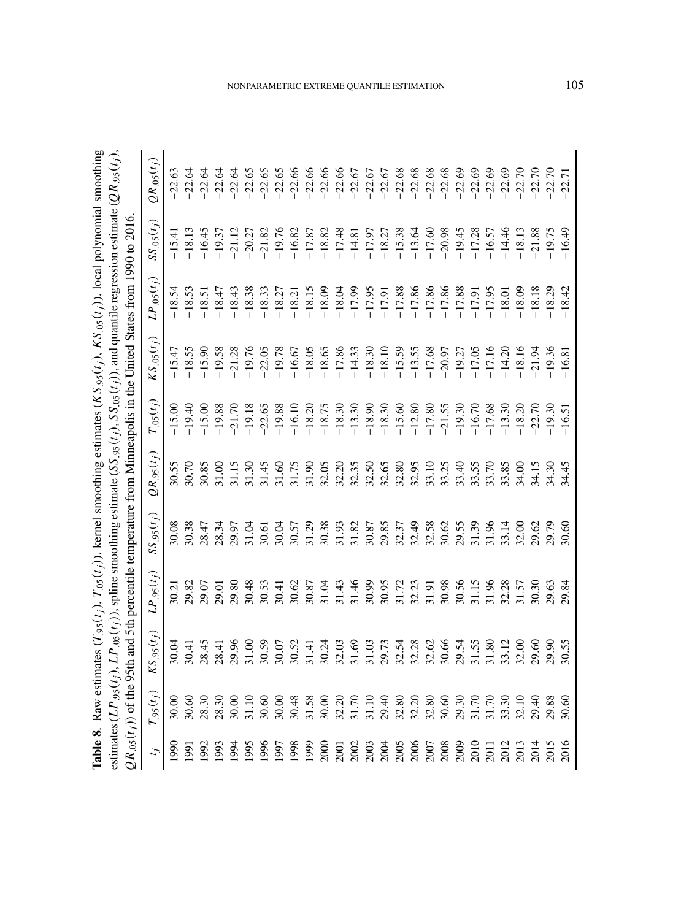|                                              | $.95(t_j)$              | $KS_{.95}(t_j)$ | $LP_{.95}(t_j)$ | SS(1) | $(2R_{.95}(t_j))$                                                                                                                                                                                                                                                                                                                                                                                                                                                                                                         | $T_{.05}(t_j)$                                                                                                                                                                                                                                                                                                                                                                                                                                                                                | $(S_{.05}(t_j))$ | $LP_{.05}(t_j)$ | $SS_{.05}(t_i)$ | $2R_{.05}(t_j)$ |
|----------------------------------------------|-------------------------|-----------------|-----------------|-------|---------------------------------------------------------------------------------------------------------------------------------------------------------------------------------------------------------------------------------------------------------------------------------------------------------------------------------------------------------------------------------------------------------------------------------------------------------------------------------------------------------------------------|-----------------------------------------------------------------------------------------------------------------------------------------------------------------------------------------------------------------------------------------------------------------------------------------------------------------------------------------------------------------------------------------------------------------------------------------------------------------------------------------------|------------------|-----------------|-----------------|-----------------|
| 900                                          |                         | 30.04           |                 |       |                                                                                                                                                                                                                                                                                                                                                                                                                                                                                                                           | 15.00                                                                                                                                                                                                                                                                                                                                                                                                                                                                                         |                  |                 | $-15.41$        | $-22.63$        |
| 991                                          | 80.60                   |                 |                 |       |                                                                                                                                                                                                                                                                                                                                                                                                                                                                                                                           |                                                                                                                                                                                                                                                                                                                                                                                                                                                                                               |                  |                 |                 |                 |
| 992                                          |                         |                 |                 |       |                                                                                                                                                                                                                                                                                                                                                                                                                                                                                                                           |                                                                                                                                                                                                                                                                                                                                                                                                                                                                                               |                  |                 |                 |                 |
| <b>1993</b>                                  |                         |                 |                 |       |                                                                                                                                                                                                                                                                                                                                                                                                                                                                                                                           |                                                                                                                                                                                                                                                                                                                                                                                                                                                                                               |                  |                 |                 |                 |
| .994                                         | 28.30<br>28.30<br>30.00 |                 |                 |       | $\begin{array}{l} \kappa \text{ } \kappa \text{ } \kappa \text{ } \kappa \text{ } \kappa \text{ } \kappa \text{ } \kappa \text{ } \kappa \text{ } \kappa \text{ } \kappa \text{ } \kappa \text{ } \kappa \text{ } \kappa \text{ } \kappa \text{ } \kappa \text{ } \kappa \text{ } \kappa \text{ } \kappa \text{ } \kappa \text{ } \kappa \text{ } \kappa \text{ } \kappa \text{ } \kappa \text{ } \kappa \text{ } \kappa \text{ } \kappa \text{ } \kappa \text{ } \kappa \text{ } \kappa \text{ } \kappa \text{ } \kappa$ | $\begin{array}{l} \mathcal{L} \\ \mathcal{L} \\ \mathcal{L} \\ \mathcal{L} \\ \mathcal{L} \\ \mathcal{L} \\ \mathcal{L} \\ \mathcal{L} \\ \mathcal{L} \\ \mathcal{L} \\ \mathcal{L} \\ \mathcal{L} \\ \mathcal{L} \\ \mathcal{L} \\ \mathcal{L} \\ \mathcal{L} \\ \mathcal{L} \\ \mathcal{L} \\ \mathcal{L} \\ \mathcal{L} \\ \mathcal{L} \\ \mathcal{L} \\ \mathcal{L} \\ \mathcal{L} \\ \mathcal{L} \\ \mathcal{L} \\ \mathcal{L} \\ \mathcal{L} \\ \mathcal{L} \\ \mathcal{L} \\ \mathcal$ |                  |                 |                 |                 |
| 1995                                         |                         |                 |                 |       |                                                                                                                                                                                                                                                                                                                                                                                                                                                                                                                           |                                                                                                                                                                                                                                                                                                                                                                                                                                                                                               |                  |                 |                 |                 |
| 1996                                         |                         |                 |                 |       |                                                                                                                                                                                                                                                                                                                                                                                                                                                                                                                           |                                                                                                                                                                                                                                                                                                                                                                                                                                                                                               |                  |                 |                 |                 |
| 1997                                         |                         |                 |                 |       |                                                                                                                                                                                                                                                                                                                                                                                                                                                                                                                           |                                                                                                                                                                                                                                                                                                                                                                                                                                                                                               |                  |                 |                 |                 |
| 1998                                         |                         |                 |                 |       |                                                                                                                                                                                                                                                                                                                                                                                                                                                                                                                           |                                                                                                                                                                                                                                                                                                                                                                                                                                                                                               |                  |                 |                 |                 |
| <b>6661</b>                                  |                         |                 |                 |       |                                                                                                                                                                                                                                                                                                                                                                                                                                                                                                                           |                                                                                                                                                                                                                                                                                                                                                                                                                                                                                               |                  |                 |                 |                 |
| 2000                                         |                         |                 |                 |       |                                                                                                                                                                                                                                                                                                                                                                                                                                                                                                                           |                                                                                                                                                                                                                                                                                                                                                                                                                                                                                               |                  |                 |                 |                 |
| 200                                          |                         |                 |                 |       |                                                                                                                                                                                                                                                                                                                                                                                                                                                                                                                           |                                                                                                                                                                                                                                                                                                                                                                                                                                                                                               |                  |                 |                 |                 |
| 2002                                         |                         |                 |                 |       |                                                                                                                                                                                                                                                                                                                                                                                                                                                                                                                           |                                                                                                                                                                                                                                                                                                                                                                                                                                                                                               |                  |                 |                 |                 |
|                                              |                         |                 |                 |       |                                                                                                                                                                                                                                                                                                                                                                                                                                                                                                                           |                                                                                                                                                                                                                                                                                                                                                                                                                                                                                               |                  |                 |                 |                 |
| 2003<br>2004                                 |                         |                 |                 |       |                                                                                                                                                                                                                                                                                                                                                                                                                                                                                                                           |                                                                                                                                                                                                                                                                                                                                                                                                                                                                                               |                  |                 |                 |                 |
|                                              |                         |                 |                 |       |                                                                                                                                                                                                                                                                                                                                                                                                                                                                                                                           |                                                                                                                                                                                                                                                                                                                                                                                                                                                                                               |                  |                 |                 |                 |
|                                              |                         |                 |                 |       |                                                                                                                                                                                                                                                                                                                                                                                                                                                                                                                           |                                                                                                                                                                                                                                                                                                                                                                                                                                                                                               |                  |                 |                 |                 |
| 2005<br>2006<br>2007<br>2008<br>2010<br>2011 |                         |                 |                 |       |                                                                                                                                                                                                                                                                                                                                                                                                                                                                                                                           |                                                                                                                                                                                                                                                                                                                                                                                                                                                                                               |                  |                 |                 |                 |
|                                              |                         |                 |                 |       |                                                                                                                                                                                                                                                                                                                                                                                                                                                                                                                           |                                                                                                                                                                                                                                                                                                                                                                                                                                                                                               |                  |                 |                 |                 |
|                                              |                         |                 |                 |       |                                                                                                                                                                                                                                                                                                                                                                                                                                                                                                                           |                                                                                                                                                                                                                                                                                                                                                                                                                                                                                               |                  |                 |                 |                 |
|                                              |                         |                 |                 |       |                                                                                                                                                                                                                                                                                                                                                                                                                                                                                                                           |                                                                                                                                                                                                                                                                                                                                                                                                                                                                                               |                  |                 |                 |                 |
|                                              |                         |                 |                 |       |                                                                                                                                                                                                                                                                                                                                                                                                                                                                                                                           |                                                                                                                                                                                                                                                                                                                                                                                                                                                                                               |                  |                 |                 |                 |
| 2012                                         |                         |                 |                 |       |                                                                                                                                                                                                                                                                                                                                                                                                                                                                                                                           |                                                                                                                                                                                                                                                                                                                                                                                                                                                                                               |                  |                 |                 |                 |
| 2013                                         |                         |                 |                 |       |                                                                                                                                                                                                                                                                                                                                                                                                                                                                                                                           |                                                                                                                                                                                                                                                                                                                                                                                                                                                                                               |                  |                 |                 |                 |
| 2014                                         |                         |                 |                 |       |                                                                                                                                                                                                                                                                                                                                                                                                                                                                                                                           |                                                                                                                                                                                                                                                                                                                                                                                                                                                                                               |                  |                 |                 |                 |
| 2015                                         |                         |                 |                 |       |                                                                                                                                                                                                                                                                                                                                                                                                                                                                                                                           |                                                                                                                                                                                                                                                                                                                                                                                                                                                                                               |                  |                 |                 |                 |
| 2016                                         |                         |                 |                 |       |                                                                                                                                                                                                                                                                                                                                                                                                                                                                                                                           | 16.51                                                                                                                                                                                                                                                                                                                                                                                                                                                                                         |                  |                 |                 |                 |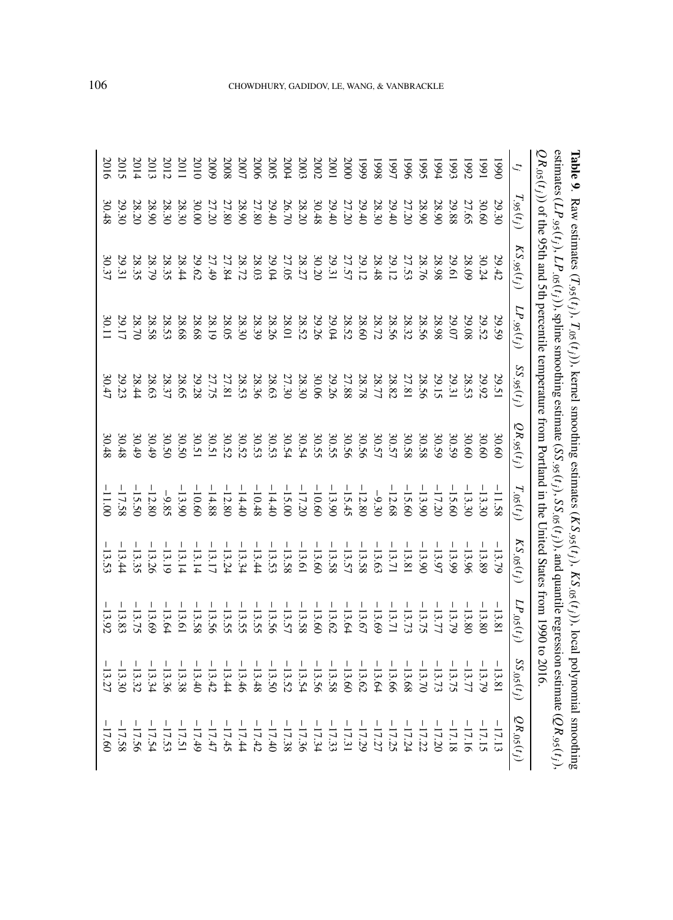|                  |                         | QR.os(t,j) of the 95th and 5th percentile remperature from Portland in the Chited States from 1990 to 2016 |                                  |                         |                               |                                                                                                                                             |                                                                                                                                                                                                                                                                                                                     |                                                                                                                                                   |                                                                      |                                  |
|------------------|-------------------------|------------------------------------------------------------------------------------------------------------|----------------------------------|-------------------------|-------------------------------|---------------------------------------------------------------------------------------------------------------------------------------------|---------------------------------------------------------------------------------------------------------------------------------------------------------------------------------------------------------------------------------------------------------------------------------------------------------------------|---------------------------------------------------------------------------------------------------------------------------------------------------|----------------------------------------------------------------------|----------------------------------|
|                  | $T_{.95}(t_j)$          | $KS.95(t_j)$                                                                                               | $LP_{.95}(t_j)$                  | $SS$ , 95 $(t_j)$       | $QR$ , 95 $(t_j)$             | $T_{.05}(t_j)$                                                                                                                              | $KS_{.05}(t_j)$                                                                                                                                                                                                                                                                                                     | $LP_{.05}(t_j)$                                                                                                                                   | $SS_{.05}(t_j)$                                                      | $QR_{.05}(t_j)$                  |
| 0661             | 29.30                   | 29.42                                                                                                      | 29.59                            |                         | 30.60                         | $-11.58$                                                                                                                                    | $-13.79$                                                                                                                                                                                                                                                                                                            | $-13.8$                                                                                                                                           | $-13.81$                                                             | $-17.13$                         |
| 1661             | 30.60                   | 30.24                                                                                                      | 29.52                            | 29.51<br>29.92<br>29.31 | 30.6C                         | $-13.30$                                                                                                                                    | $-13.89$                                                                                                                                                                                                                                                                                                            |                                                                                                                                                   |                                                                      | $-17.15$                         |
| <b>1992</b>      | 27.65                   | 28.09                                                                                                      | 29.08                            |                         |                               |                                                                                                                                             |                                                                                                                                                                                                                                                                                                                     | $\begin{array}{rrrr} -1 & 33 & 80 \\ -1 & 33 & 72 \\ -1 & 33 & 72 \\ -1 & 33 & 72 \\ -1 & 33 & 64 \\ -1 & 33 & 67 \\ -1 & 33 & 67 \\ \end{array}$ | $-13.79$<br>$-13.75$<br>$-13.79$<br>$-13.70$<br>$-13.68$<br>$-13.68$ | $-17.16$                         |
| $-565$           | 29.88                   | 29.61                                                                                                      | 29.07                            |                         |                               | $-113.30$<br>$-115.60$<br>$-17.20$<br>$-13.90$<br>$-12.68$                                                                                  | $\frac{1}{3}$ $\frac{1}{3}$ $\frac{1}{3}$ $\frac{1}{3}$ $\frac{1}{3}$ $\frac{1}{3}$ $\frac{1}{3}$ $\frac{1}{3}$ $\frac{1}{3}$ $\frac{1}{3}$ $\frac{1}{3}$ $\frac{1}{3}$ $\frac{1}{3}$ $\frac{1}{3}$ $\frac{1}{3}$ $\frac{1}{3}$ $\frac{1}{3}$ $\frac{1}{3}$ $\frac{1}{3}$ $\frac{1}{3}$ $\frac{1}{4}$ $\frac{1}{5}$ |                                                                                                                                                   |                                                                      | $-17.18$                         |
| 1994             | 28.90                   |                                                                                                            | 28.98                            |                         |                               |                                                                                                                                             |                                                                                                                                                                                                                                                                                                                     |                                                                                                                                                   |                                                                      | $-17.20$                         |
| 5661             |                         |                                                                                                            | 28.56<br>28.32<br>28.72<br>28.60 |                         |                               |                                                                                                                                             |                                                                                                                                                                                                                                                                                                                     |                                                                                                                                                   |                                                                      | $-17.22$                         |
| 9661             | 28.90<br>27.20          |                                                                                                            |                                  |                         |                               |                                                                                                                                             |                                                                                                                                                                                                                                                                                                                     |                                                                                                                                                   |                                                                      | $-17.24$                         |
| L661             |                         |                                                                                                            |                                  |                         |                               |                                                                                                                                             |                                                                                                                                                                                                                                                                                                                     |                                                                                                                                                   | $-13.66$                                                             | $-17.25$                         |
| 8661             | 29.40<br>28.30<br>29.40 |                                                                                                            |                                  |                         |                               | $-3.30$<br>$-3.50$<br>$-3.50$<br>$-3.50$<br>$-3.50$<br>$-3.50$<br>$-3.50$<br>$-3.50$<br>$-3.50$<br>$-3.50$<br>$-3.50$<br>$-3.50$<br>$-3.50$ |                                                                                                                                                                                                                                                                                                                     |                                                                                                                                                   | $-13.61$<br>$-13.60$<br>$-13.58$                                     | $-17.27$                         |
| 6661             |                         |                                                                                                            |                                  |                         |                               |                                                                                                                                             |                                                                                                                                                                                                                                                                                                                     |                                                                                                                                                   |                                                                      | $-17.29$                         |
| 200C             | 27.20<br>29.40          |                                                                                                            | $28.52$<br>29.04                 |                         |                               |                                                                                                                                             |                                                                                                                                                                                                                                                                                                                     |                                                                                                                                                   |                                                                      | $-17.31$                         |
| 100 <sub>1</sub> |                         |                                                                                                            |                                  |                         |                               |                                                                                                                                             |                                                                                                                                                                                                                                                                                                                     | $-13.62$                                                                                                                                          |                                                                      | $-17.33$                         |
| 2002             | 30.48                   |                                                                                                            |                                  |                         |                               |                                                                                                                                             |                                                                                                                                                                                                                                                                                                                     |                                                                                                                                                   |                                                                      |                                  |
| 2003             | 28.20                   |                                                                                                            | 29.26<br>28.52<br>28.01          |                         |                               |                                                                                                                                             |                                                                                                                                                                                                                                                                                                                     |                                                                                                                                                   | $-13.56$<br>-13.54                                                   | $-17.34$<br>$-17.36$<br>$-17.38$ |
| 2004             | 26.70                   |                                                                                                            |                                  |                         |                               |                                                                                                                                             |                                                                                                                                                                                                                                                                                                                     |                                                                                                                                                   | $-13.52$<br>-13.50                                                   |                                  |
| 2005             | 29.40<br>27.80          |                                                                                                            | 28.26<br>28.39                   |                         |                               |                                                                                                                                             |                                                                                                                                                                                                                                                                                                                     |                                                                                                                                                   |                                                                      | $-17.40$                         |
| 2006             |                         |                                                                                                            |                                  |                         |                               |                                                                                                                                             |                                                                                                                                                                                                                                                                                                                     |                                                                                                                                                   | $-13.48$                                                             | $-17.42$                         |
| 2007             |                         |                                                                                                            |                                  |                         |                               |                                                                                                                                             |                                                                                                                                                                                                                                                                                                                     |                                                                                                                                                   |                                                                      | $-17.44$                         |
| <b>2008</b>      |                         |                                                                                                            | 28.30<br>28.05                   |                         |                               |                                                                                                                                             |                                                                                                                                                                                                                                                                                                                     |                                                                                                                                                   |                                                                      | $-17.45$                         |
| 5009             | 28.90<br>27.80<br>27.20 |                                                                                                            | 28.19                            |                         |                               |                                                                                                                                             |                                                                                                                                                                                                                                                                                                                     |                                                                                                                                                   | $-13.46$<br>$-13.42$<br>$-13.40$<br>$-13.40$                         | $-17.47$                         |
| 201C             |                         |                                                                                                            | 28.68                            |                         |                               |                                                                                                                                             |                                                                                                                                                                                                                                                                                                                     |                                                                                                                                                   |                                                                      | $-17.49$                         |
| 2011             | 30.0C<br>28.3C          |                                                                                                            | 28.68                            |                         |                               |                                                                                                                                             | $-13.14$                                                                                                                                                                                                                                                                                                            |                                                                                                                                                   | $-13.38$                                                             | $-17.51$                         |
| 2012             | 28.3C<br>28.9C          |                                                                                                            | 28.53<br>28.58                   |                         |                               |                                                                                                                                             |                                                                                                                                                                                                                                                                                                                     |                                                                                                                                                   | $-13.36$<br>-13.34                                                   | $-17.53$                         |
| 2013             |                         |                                                                                                            |                                  |                         |                               |                                                                                                                                             |                                                                                                                                                                                                                                                                                                                     |                                                                                                                                                   |                                                                      | $-17.54$                         |
| 2014             | 28.20                   |                                                                                                            | 28.7C                            |                         | $30.45$<br>$30.48$<br>$30.48$ |                                                                                                                                             |                                                                                                                                                                                                                                                                                                                     |                                                                                                                                                   |                                                                      | $-17.56$                         |
| 2015             | 29.30                   |                                                                                                            | 29.17                            |                         |                               | $-9.85$<br>$-12.80$<br>$-17.58$<br>$-17.58$                                                                                                 | $-13.36$<br>$-13.36$<br>$-13.34$                                                                                                                                                                                                                                                                                    |                                                                                                                                                   | $-13.32$<br>$-13.27$<br>$-13.27$                                     |                                  |
|                  | 30.48                   |                                                                                                            | 30.11                            | 30.47                   | 30.48                         |                                                                                                                                             | $-13.53$                                                                                                                                                                                                                                                                                                            | $-13.92$                                                                                                                                          |                                                                      | $-17.60$                         |

## CHOWDHURY, GADIDOV, LE, WANG, & VANBRACKLE

**Table 9**

. Raw estimates (

 $T_{.95}(t_j),\,T_{.05}(t_j)$ 

), kernel smoothing estimates (

 $KS_{.95}(t_j)$ ,  $KS_{.05}(t_j)$ 

), local polynomial smoothing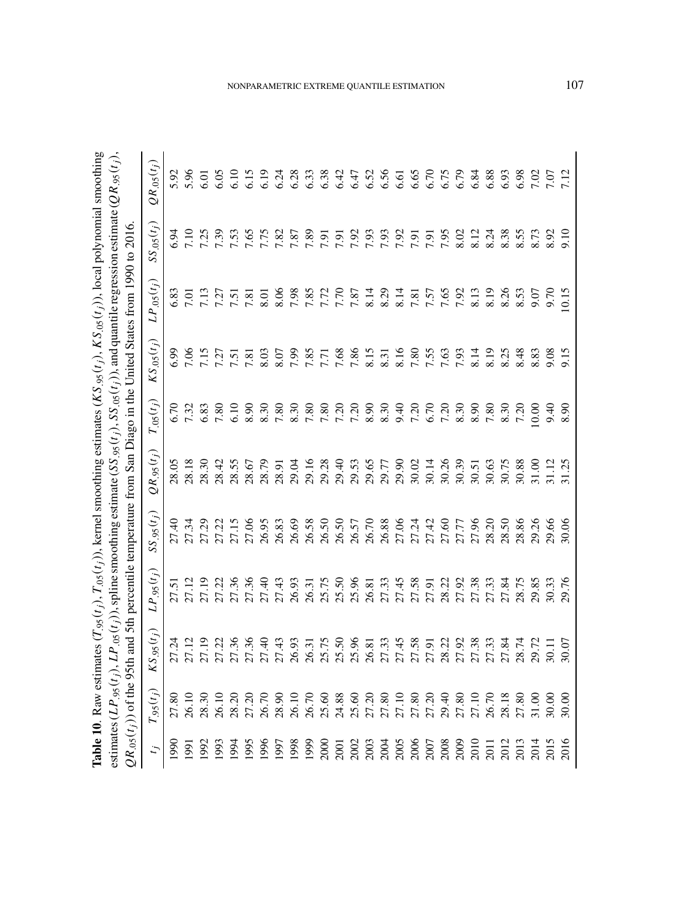|                                                                                                                                                   |                                                                                                                                                                            | <sup>10</sup> to 2016.                                                                                   |
|---------------------------------------------------------------------------------------------------------------------------------------------------|----------------------------------------------------------------------------------------------------------------------------------------------------------------------------|----------------------------------------------------------------------------------------------------------|
| es $(KS.95(t_j), KS.05(t_j))$ , local polynomial sm<br><b>Table 10.</b> Raw estimates $(T_{.95}(t_j), T_{.05}(t_j))$ , kernel smoothing estimates | estimates (LP $_{.95}(t_j)$ ), LP $_{.05}(t_j)$ ), spline smoothing estimate (SS $_{.95}(t_j)$ ), SS $_{.05}(t_j)$ ), and quantile regression estimate (QR $_{.95}(t_j)$ ) | $QR_{.05}(tf))$ of the 95th and 5th percentile temperature from San Diago in the United States from 1990 |
|                                                                                                                                                   |                                                                                                                                                                            |                                                                                                          |

|              | $.95(t_j)$ | $KS_{.95}(t_{j})$ | $LP_{.95}(t_j)$                                                                                                                                                                                                                   | $SS_{.95}(t_j)$ | $QR_{.95}(t_j)$ | $T_{.05}(t_j)$                 | $KS_{.05}(t_{j})$ | $LP_{.05}(t_j)$ | $SS_{.05}(t_j)$              | $QR_{.05}(t_i)$ |
|--------------|------------|-------------------|-----------------------------------------------------------------------------------------------------------------------------------------------------------------------------------------------------------------------------------|-----------------|-----------------|--------------------------------|-------------------|-----------------|------------------------------|-----------------|
| 990          |            |                   |                                                                                                                                                                                                                                   |                 |                 |                                |                   |                 |                              |                 |
| 1661         |            |                   |                                                                                                                                                                                                                                   |                 |                 |                                |                   |                 |                              |                 |
|              |            |                   |                                                                                                                                                                                                                                   |                 |                 |                                |                   |                 |                              |                 |
| 1993<br>1993 |            |                   |                                                                                                                                                                                                                                   |                 |                 |                                |                   |                 | 5.34<br>7.25<br>7.59<br>7.53 |                 |
| $-994$       |            |                   | Li Thur Sensi Li Thur Sensi Li Thur Sensi Li Thur Sensi Li Thur Sensi Li Thur Sensi Li Thur Sensi Li Thur Sensi<br>1989 - Paris Li Thur Sensi Li Thur Sensi Li Thur Sensi Li Thur Sensi Li Thur Sensi Li Thur Sensi Li Thur Sensi |                 |                 | 6.73<br>7.32<br>6.7.80<br>5.10 |                   |                 |                              |                 |
|              |            |                   |                                                                                                                                                                                                                                   |                 |                 |                                |                   |                 |                              |                 |
|              |            |                   |                                                                                                                                                                                                                                   |                 |                 |                                |                   |                 |                              |                 |
|              |            |                   |                                                                                                                                                                                                                                   |                 |                 |                                |                   |                 |                              |                 |
|              |            |                   |                                                                                                                                                                                                                                   |                 |                 |                                |                   |                 |                              |                 |
|              |            |                   |                                                                                                                                                                                                                                   |                 |                 |                                |                   |                 |                              |                 |
|              |            |                   |                                                                                                                                                                                                                                   |                 |                 |                                |                   |                 |                              |                 |
|              |            |                   |                                                                                                                                                                                                                                   |                 |                 |                                |                   |                 |                              |                 |
|              |            |                   |                                                                                                                                                                                                                                   |                 |                 |                                |                   |                 |                              |                 |
|              |            |                   |                                                                                                                                                                                                                                   |                 |                 |                                |                   |                 |                              |                 |
|              |            |                   |                                                                                                                                                                                                                                   |                 |                 |                                |                   |                 |                              |                 |
|              |            |                   |                                                                                                                                                                                                                                   |                 |                 |                                |                   |                 |                              |                 |
|              |            |                   |                                                                                                                                                                                                                                   |                 |                 |                                |                   |                 |                              |                 |
|              |            |                   |                                                                                                                                                                                                                                   |                 |                 |                                |                   |                 |                              |                 |
|              |            |                   |                                                                                                                                                                                                                                   |                 |                 |                                |                   |                 |                              |                 |
|              |            |                   |                                                                                                                                                                                                                                   |                 |                 |                                |                   |                 |                              |                 |
|              |            |                   |                                                                                                                                                                                                                                   |                 |                 |                                |                   |                 |                              |                 |
|              |            |                   |                                                                                                                                                                                                                                   |                 |                 |                                |                   |                 |                              |                 |
|              |            |                   |                                                                                                                                                                                                                                   |                 |                 |                                |                   |                 |                              |                 |
|              |            |                   |                                                                                                                                                                                                                                   |                 |                 |                                |                   |                 |                              |                 |
|              |            |                   |                                                                                                                                                                                                                                   |                 |                 |                                |                   |                 |                              |                 |
|              |            |                   |                                                                                                                                                                                                                                   |                 |                 |                                |                   |                 |                              |                 |
|              |            |                   |                                                                                                                                                                                                                                   |                 |                 | 8.90                           |                   |                 |                              |                 |